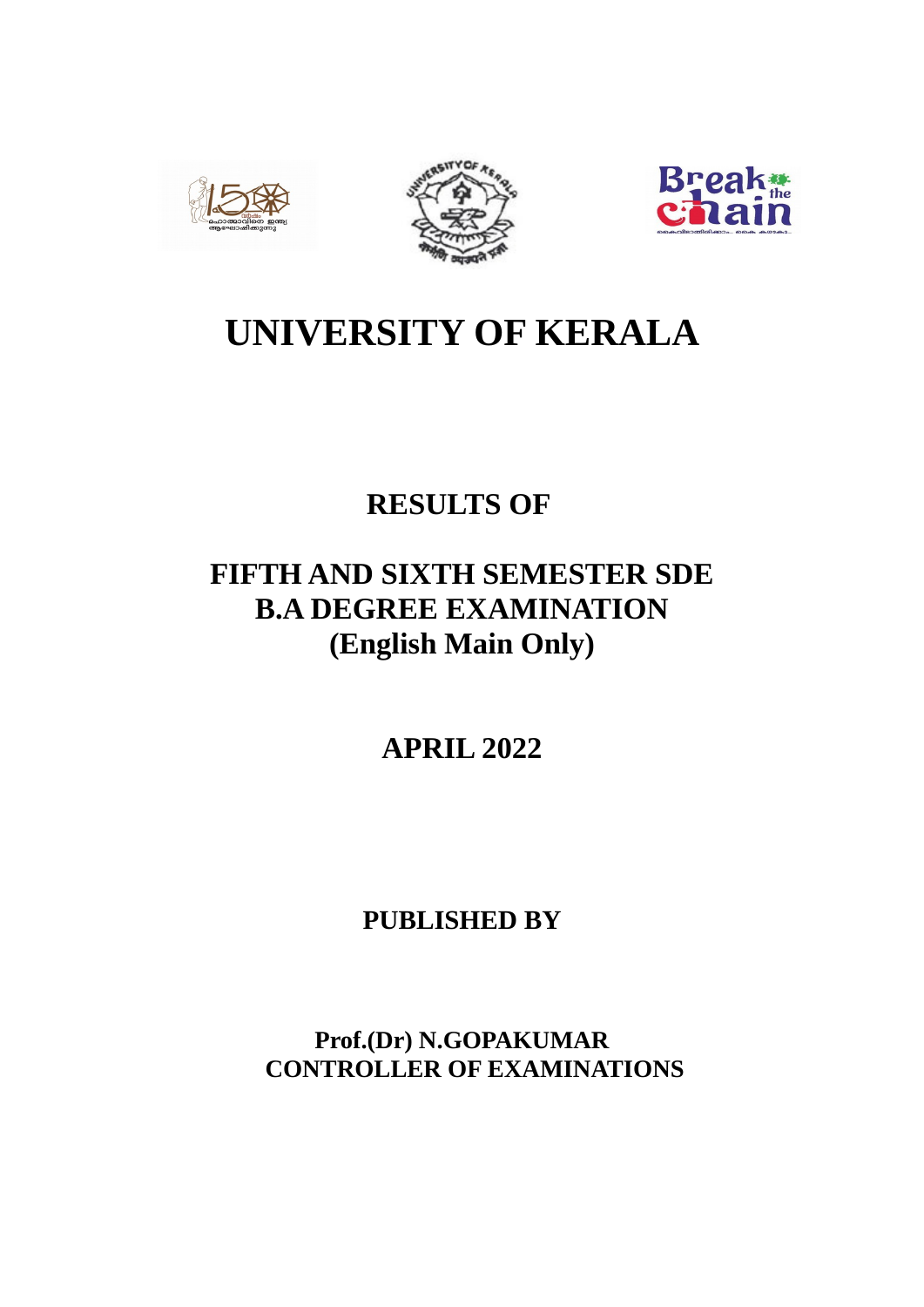





# **UNIVERSITY OF KERALA**

# **RESULTS OF**

# **FIFTH AND SIXTH SEMESTER SDE B.A DEGREE EXAMINATION (English Main Only)**

**APRIL 2022**

**PUBLISHED BY**

**Prof.(Dr) N.GOPAKUMAR CONTROLLER OF EXAMINATIONS**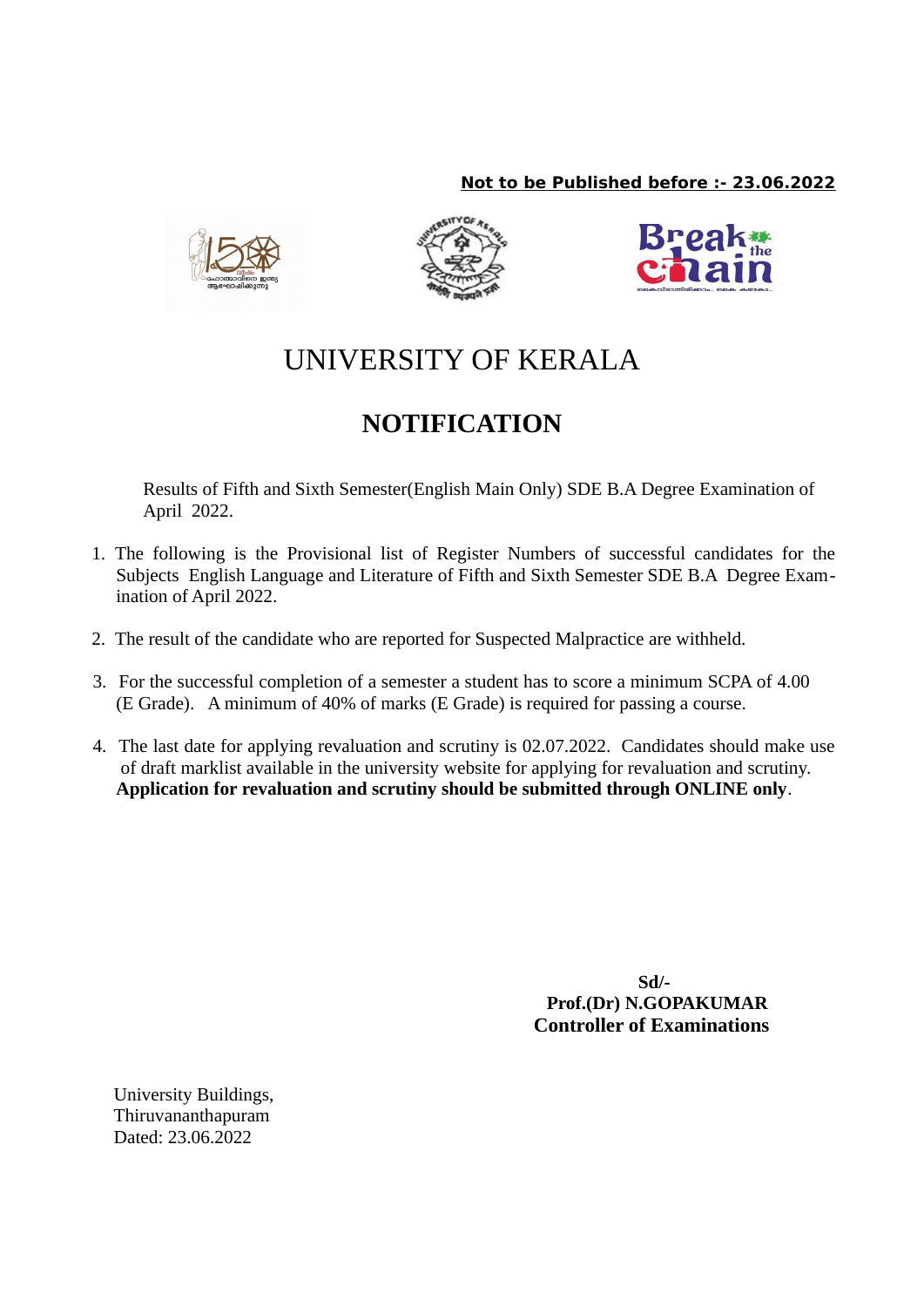# **Not to be Published before :- 23.06.2022**







# UNIVERSITY OF KERALA

# **NOTIFICATION**

Results of Fifth and Sixth Semester(English Main Only) SDE B.A Degree Examination of April 2022.

- 1. The following is the Provisional list of Register Numbers of successful candidates for the Subjects English Language and Literature of Fifth and Sixth Semester SDE B.A Degree Examination of April 2022.
- 2. The result of the candidate who are reported for Suspected Malpractice are withheld.
- 3. For the successful completion of a semester a student has to score a minimum SCPA of 4.00 (E Grade). A minimum of 40% of marks (E Grade) is required for passing a course.
- 4. The last date for applying revaluation and scrutiny is 02.07.2022. Candidates should make use of draft marklist available in the university website for applying for revaluation and scrutiny. **Application for revaluation and scrutiny should be submitted through ONLINE only**.

**Sd/- Prof.(Dr) N.GOPAKUMAR Controller of Examinations**

University Buildings, Thiruvananthapuram Dated: 23.06.2022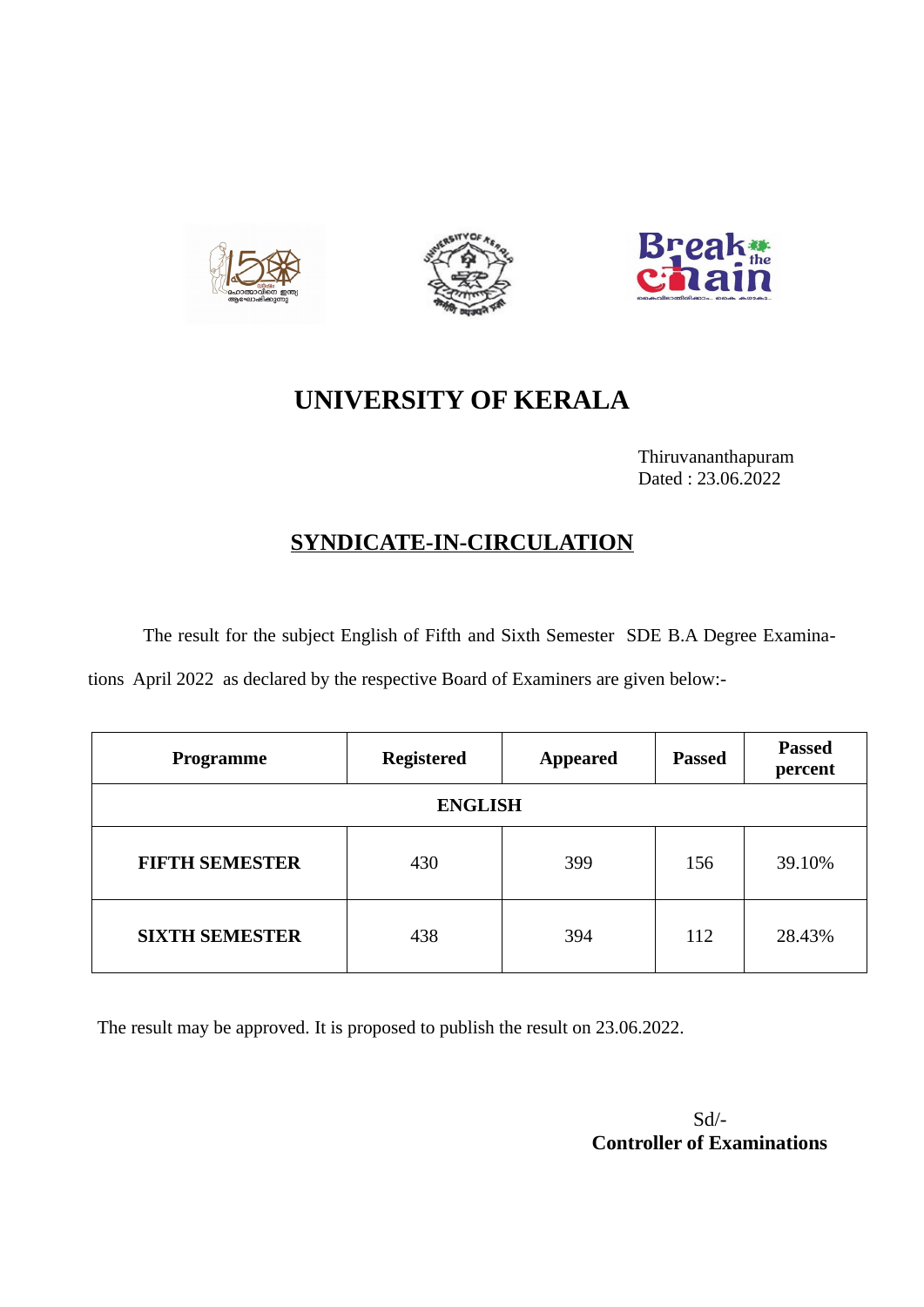





# **UNIVERSITY OF KERALA**

Thiruvananthapuram Dated : 23.06.2022

# **SYNDICATE-IN-CIRCULATION**

The result for the subject English of Fifth and Sixth Semester SDE B.A Degree Examina-

tions April 2022 as declared by the respective Board of Examiners are given below:-

| Programme             | <b>Registered</b> | <b>Appeared</b> | <b>Passed</b> | <b>Passed</b><br>percent |  |
|-----------------------|-------------------|-----------------|---------------|--------------------------|--|
| <b>ENGLISH</b>        |                   |                 |               |                          |  |
| <b>FIFTH SEMESTER</b> | 430               | 399             | 156           | 39.10%                   |  |
| <b>SIXTH SEMESTER</b> | 438               | 394             | 112           | 28.43%                   |  |

The result may be approved. It is proposed to publish the result on 23.06.2022.

Sd/-  **Controller of Examinations**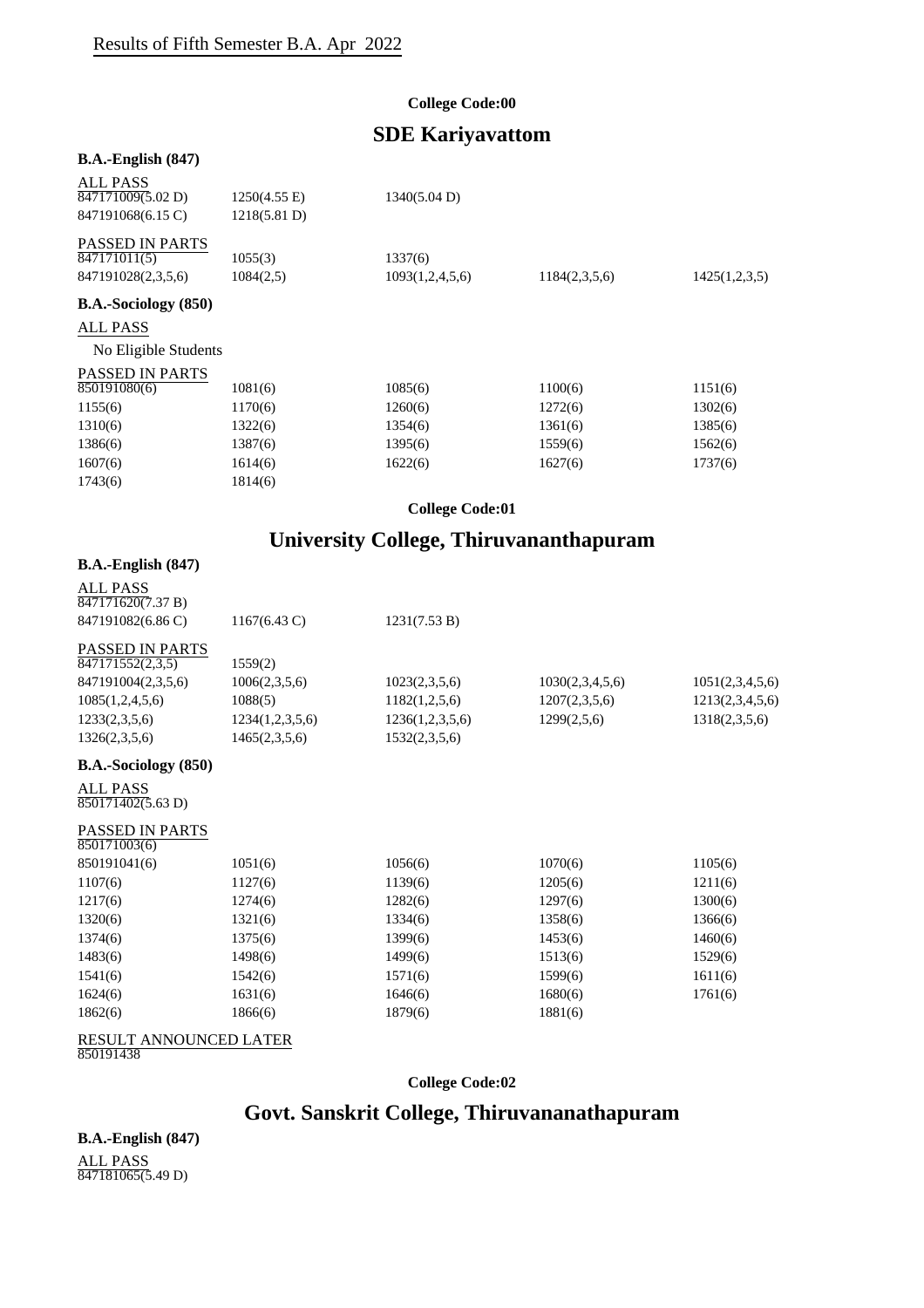#### **College Code:00**

# **SDE Kariyavattom**

#### **B.A.-English (847)**

| <b>ALL PASS</b><br>847171009(5.02 D)<br>847191068(6.15 C)    | $1250(4.55 \text{ E})$<br>1218(5.81 D) | 1340(5.04 D)               |               |               |
|--------------------------------------------------------------|----------------------------------------|----------------------------|---------------|---------------|
| <b>PASSED IN PARTS</b><br>847171011(5)<br>847191028(2,3,5,6) | 1055(3)<br>1084(2,5)                   | 1337(6)<br>1093(1,2,4,5,6) | 1184(2,3,5,6) | 1425(1,2,3,5) |
| <b>B.A.-Sociology</b> (850)                                  |                                        |                            |               |               |
| <b>ALL PASS</b>                                              |                                        |                            |               |               |
| No Eligible Students                                         |                                        |                            |               |               |
| <b>PASSED IN PARTS</b><br>850191080(6)                       | 1081(6)                                | 1085(6)                    | 1100(6)       | 1151(6)       |
| 1155(6)                                                      | 1170(6)                                | 1260(6)                    | 1272(6)       | 1302(6)       |
| 1310(6)                                                      | 1322(6)                                | 1354(6)                    | 1361(6)       | 1385(6)       |
| 1386(6)                                                      | 1387(6)                                | 1395(6)                    | 1559(6)       | 1562(6)       |
| 1607(6)                                                      | 1614(6)                                | 1622(6)                    | 1627(6)       | 1737(6)       |
| 1743(6)                                                      | 1814(6)                                |                            |               |               |

**College Code:01**

# **University College, Thiruvananthapuram**

#### **B.A.-English (847)**

| <b>ALL PASS</b><br>$\sqrt{847171620(7.37 B)}$ |                        |                 |                 |                 |
|-----------------------------------------------|------------------------|-----------------|-----------------|-----------------|
| 847191082(6.86 C)                             | $1167(6.43 \text{ C})$ | 1231(7.53 B)    |                 |                 |
| <b>PASSED IN PARTS</b>                        |                        |                 |                 |                 |
| 847171552(2,3,5)                              | 1559(2)                |                 |                 |                 |
| 847191004(2,3,5,6)                            | 1006(2,3,5,6)          | 1023(2,3,5,6)   | 1030(2,3,4,5,6) | 1051(2,3,4,5,6) |
| 1085(1,2,4,5,6)                               | 1088(5)                | 1182(1,2,5,6)   | 1207(2,3,5,6)   | 1213(2,3,4,5,6) |
| 1233(2,3,5,6)                                 | 1234(1,2,3,5,6)        | 1236(1,2,3,5,6) | 1299(2,5,6)     | 1318(2,3,5,6)   |
| 1326(2,3,5,6)                                 | 1465(2,3,5,6)          | 1532(2,3,5,6)   |                 |                 |
| <b>B.A.-Sociology</b> (850)                   |                        |                 |                 |                 |
| ALL PASS<br>850171402(5.63 D)                 |                        |                 |                 |                 |
| <b>PASSED IN PARTS</b><br>850171003(6)        |                        |                 |                 |                 |
| 850191041(6)                                  | 1051(6)                | 1056(6)         | 1070(6)         | 1105(6)         |
| 1107(6)                                       | 1127(6)                | 1139(6)         | 1205(6)         | 1211(6)         |
| 1217(6)                                       | 1274(6)                | 1282(6)         | 1297(6)         | 1300(6)         |
| 1320(6)                                       | 1321(6)                | 1334(6)         | 1358(6)         | 1366(6)         |
| 1374(6)                                       | 1375(6)                | 1399(6)         | 1453(6)         | 1460(6)         |
| 1483(6)                                       | 1498(6)                | 1499(6)         | 1513(6)         | 1529(6)         |
| 1541(6)                                       | 1542(6)                | 1571(6)         | 1599(6)         | 1611(6)         |

1624(6) 1631(6) 1631(6) 1646(6) 1680(6) 1761(6)

1862(6) 1866(6) 1879(6) 1881(6)

#### RESULT ANNOUNCED LATER

850191438

**College Code:02**

# **Govt. Sanskrit College, Thiruvananathapuram**

**B.A.-English (847)** ALL PASS

847181065(5.49 D)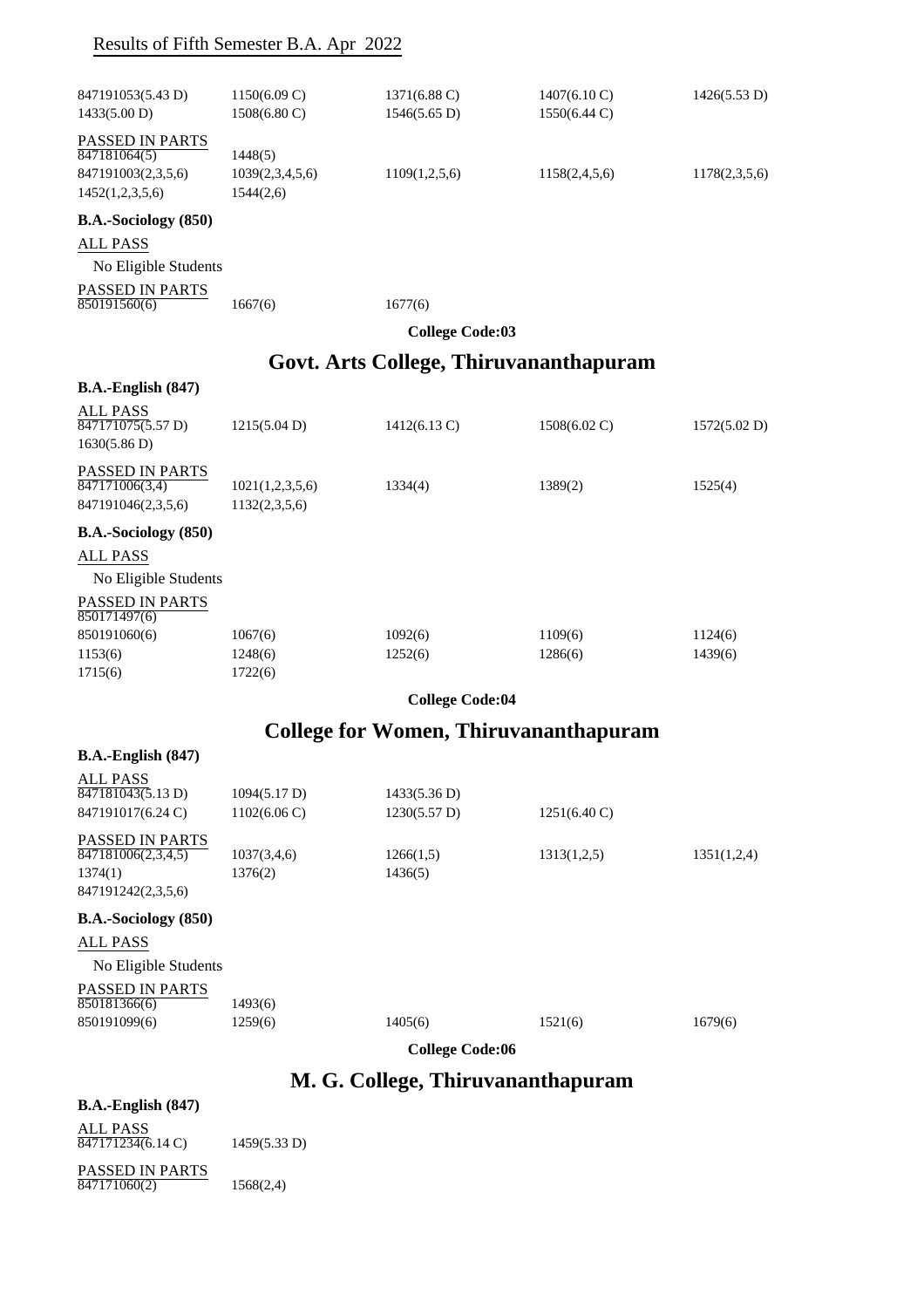# Results of Fifth Semester B.A. Apr 2022

| 847191053(5.43 D)<br>1433(5.00 D)    | $1150(6.09 \text{ C})$<br>$1508(6.80 \text{ C})$ | $1371(6.88 \text{ C})$<br>1546(5.65 D) | $1407(6.10 \text{ C})$<br>1550(6.44 C) | 1426(5.53 D)  |
|--------------------------------------|--------------------------------------------------|----------------------------------------|----------------------------------------|---------------|
| PASSED IN PARTS                      |                                                  |                                        |                                        |               |
| 847181064(5)                         | 1448(5)                                          |                                        |                                        |               |
| 847191003(2,3,5,6)                   | 1039(2,3,4,5,6)                                  | 1109(1,2,5,6)                          | 1158(2,4,5,6)                          | 1178(2,3,5,6) |
| 1452(1,2,3,5,6)                      | 1544(2,6)                                        |                                        |                                        |               |
| <b>B.A.-Sociology</b> (850)          |                                                  |                                        |                                        |               |
| <b>ALL PASS</b>                      |                                                  |                                        |                                        |               |
| No Eligible Students                 |                                                  |                                        |                                        |               |
| PASSED IN PARTS<br>850191560(6)      | 1667(6)                                          | 1677(6)                                |                                        |               |
|                                      |                                                  | <b>College Code:03</b>                 |                                        |               |
|                                      |                                                  |                                        | Govt. Arts College, Thiruvananthapuram |               |
| <b>B.A.-English (847)</b>            |                                                  |                                        |                                        |               |
| <b>ALL PASS</b>                      |                                                  |                                        |                                        |               |
| 847171075(5.57 D)                    | 1215(5.04 D)                                     | $1412(6.13 \text{ C})$                 | $1508(6.02 \text{ C})$                 | 1572(5.02 D)  |
| 1630(5.86 D)                         |                                                  |                                        |                                        |               |
| PASSED IN PARTS<br>847171006(3,4)    | 1021(1,2,3,5,6)                                  | 1334(4)                                | 1389(2)                                | 1525(4)       |
| 847191046(2,3,5,6)                   | 1132(2,3,5,6)                                    |                                        |                                        |               |
| B.A.-Sociology (850)                 |                                                  |                                        |                                        |               |
| <b>ALL PASS</b>                      |                                                  |                                        |                                        |               |
| No Eligible Students                 |                                                  |                                        |                                        |               |
| PASSED IN PARTS<br>850171497(6)      |                                                  |                                        |                                        |               |
| 850191060(6)                         | 1067(6)                                          | 1092(6)                                | 1109(6)                                | 1124(6)       |
| 1153(6)                              | 1248(6)                                          | 1252(6)                                | 1286(6)                                | 1439(6)       |
| 1715(6)                              | 1722(6)                                          |                                        |                                        |               |
|                                      |                                                  | <b>College Code:04</b>                 |                                        |               |
|                                      |                                                  |                                        | College for Women, Thiruvananthapuram  |               |
| $B.A.-English (847)$                 |                                                  |                                        |                                        |               |
| <b>ALL PASS</b><br>847181043(5.13 D) | 1094(5.17 D)                                     | 1433(5.36 D)                           |                                        |               |
| 847191017(6.24 C)                    | $1102(6.06 \text{ C})$                           | 1230(5.57 D)                           | $1251(6.40 \text{ C})$                 |               |
| <b>PASSED IN PARTS</b>               |                                                  |                                        |                                        |               |
| 847181006(2,3,4,5)                   | 1037(3,4,6)                                      | 1266(1,5)                              | 1313(1,2,5)                            | 1351(1,2,4)   |
| 1374(1)<br>847191242(2,3,5,6)        | 1376(2)                                          | 1436(5)                                |                                        |               |
| B.A.-Sociology (850)                 |                                                  |                                        |                                        |               |
| <b>ALL PASS</b>                      |                                                  |                                        |                                        |               |
| No Eligible Students                 |                                                  |                                        |                                        |               |
| PASSED IN PARTS                      |                                                  |                                        |                                        |               |
| 850181366(6)                         | 1493(6)                                          |                                        |                                        |               |
| 850191099(6)                         | 1259(6)                                          | 1405(6)                                | 1521(6)                                | 1679(6)       |
|                                      |                                                  | <b>College Code:06</b>                 |                                        |               |
|                                      |                                                  | M. G. College, Thiruvananthapuram      |                                        |               |
| <b>B.A.-English (847)</b>            |                                                  |                                        |                                        |               |
| <b>ALL PASS</b>                      |                                                  |                                        |                                        |               |

PASSED IN PARTS 847171234(6.14 C) 1459(5.33 D)  $847171060(2)$  1568(2,4)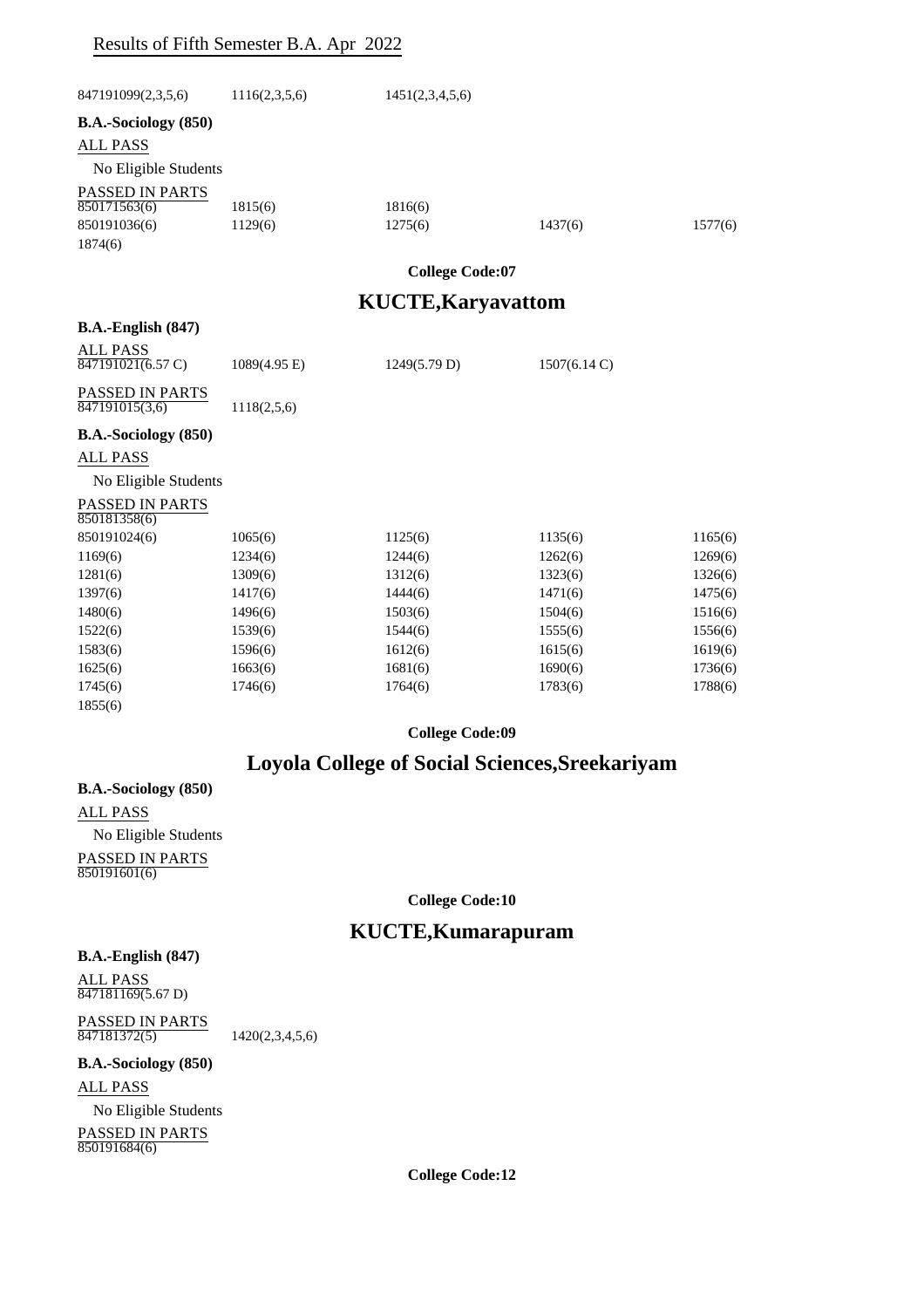### Results of Fifth Semester B.A. Apr 2022

| 847191099(2,3,5,6)                                        | 1116(2,3,5,6)          | 1451(2,3,4,5,6)           |              |         |
|-----------------------------------------------------------|------------------------|---------------------------|--------------|---------|
| B.A.-Sociology (850)                                      |                        |                           |              |         |
| <b>ALL PASS</b>                                           |                        |                           |              |         |
| No Eligible Students                                      |                        |                           |              |         |
| PASSED IN PARTS                                           |                        |                           |              |         |
| 850171563(6)                                              | 1815(6)                | 1816(6)                   |              |         |
| 850191036(6)                                              | 1129(6)                | 1275(6)                   | 1437(6)      | 1577(6) |
| 1874(6)                                                   |                        |                           |              |         |
|                                                           |                        | <b>College Code:07</b>    |              |         |
|                                                           |                        | <b>KUCTE, Karyavattom</b> |              |         |
|                                                           |                        |                           |              |         |
| $B.A.-English (847)$                                      |                        |                           |              |         |
| <b>ALL PASS</b><br>$\overline{847191021(6.57 \text{ C})}$ | $1089(4.95 \text{ E})$ | 1249(5.79 D)              | 1507(6.14 C) |         |
| PASSED IN PARTS<br>847191015(3,6)                         | 1118(2,5,6)            |                           |              |         |
| B.A.-Sociology (850)                                      |                        |                           |              |         |
| <b>ALL PASS</b>                                           |                        |                           |              |         |
| No Eligible Students                                      |                        |                           |              |         |
| PASSED IN PARTS<br>850181358(6)                           |                        |                           |              |         |
| 850191024(6)                                              | 1065(6)                | 1125(6)                   | 1135(6)      | 1165(6) |
| 1169(6)                                                   | 1234(6)                | 1244(6)                   | 1262(6)      | 1269(6) |
| 1281(6)                                                   | 1309(6)                | 1312(6)                   | 1323(6)      | 1326(6) |
| 1397(6)                                                   | 1417(6)                | 1444(6)                   | 1471(6)      | 1475(6) |
| 1480(6)                                                   | 1496(6)                | 1503(6)                   | 1504(6)      | 1516(6) |
| 1522(6)                                                   | 1539(6)                | 1544(6)                   | 1555(6)      | 1556(6) |
| 1583(6)                                                   | 1596(6)                | 1612(6)                   | 1615(6)      | 1619(6) |
| 1625(6)                                                   | 1663(6)                | 1681(6)                   | 1690(6)      | 1736(6) |
| 1745(6)                                                   | 1746(6)                | 1764(6)                   | 1783(6)      | 1788(6) |
| 1855(6)                                                   |                        |                           |              |         |

**College Code:09**

# **Loyola College of Social Sciences,Sreekariyam**

**B.A.-Sociology (850)** ALL PASS No Eligible Students PASSED IN PARTS 850191601(6)

**College Code:10**

# **KUCTE,Kumarapuram**

#### **B.A.-English (847)**

ALL PASS 847181169(5.67 D)

PASSED IN PARTS 847181372(5) 1420(2,3,4,5,6)

#### **B.A.-Sociology (850)**

ALL PASS

No Eligible Students

PASSED IN PARTS 850191684(6)

**College Code:12**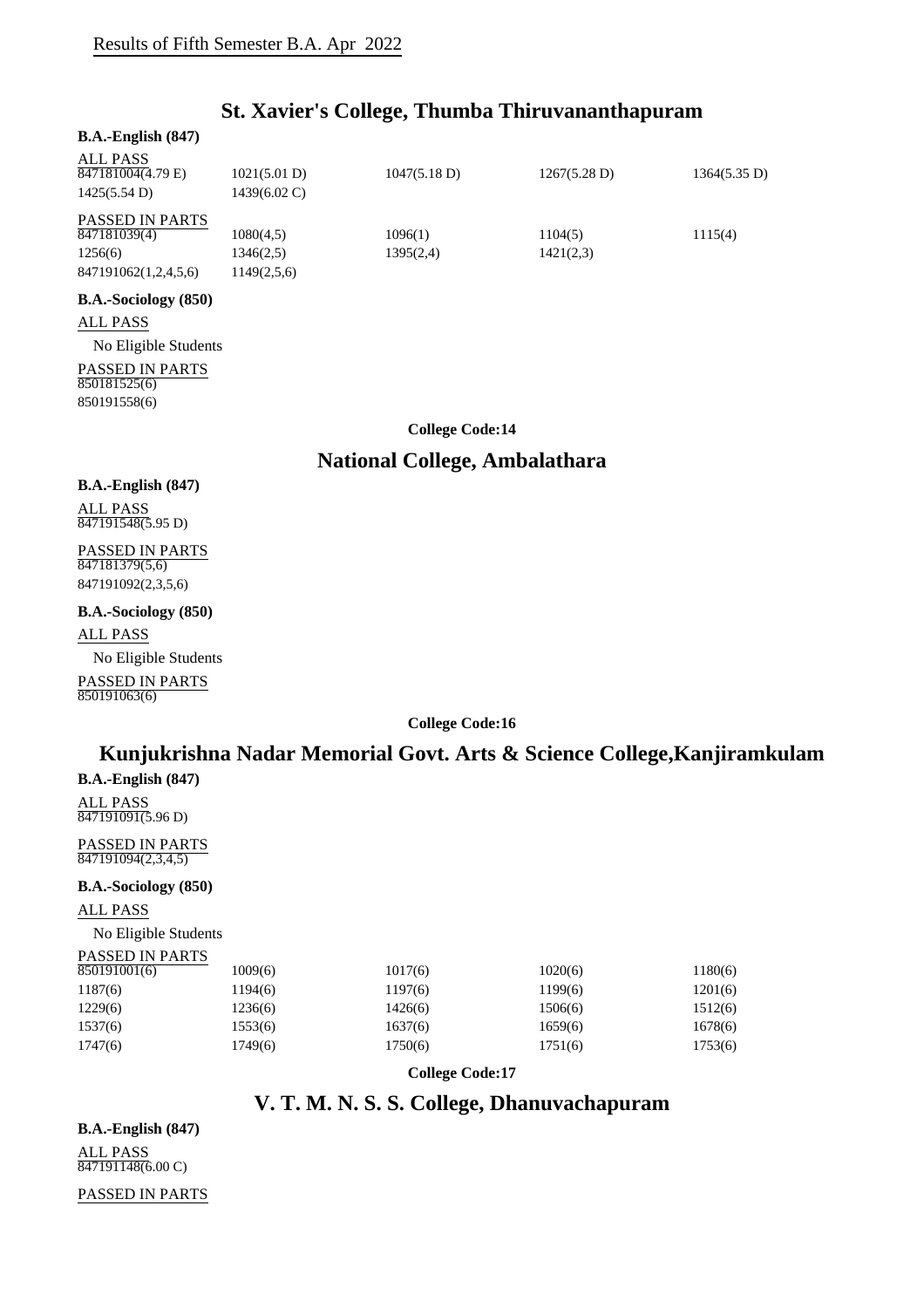# **St. Xavier's College, Thumba Thiruvananthapuram**

### **B.A.-English (847)** ALL PASS PASSED IN PARTS **B.A.-Sociology (850)** ALL PASS No Eligible Students PASSED IN PARTS 847181004(4.79 E) 1021(5.01 D) 1047(5.18 D) 1267(5.28 D) 1364(5.35 D) 1425(5.54 D) 1439(6.02 C) 847181039(4) 1080(4,5) 1096(1) 1104(5) 1115(4) 1256(6) 1346(2,5) 1395(2,4) 1421(2,3) 847191062(1,2,4,5,6) 1149(2,5,6)

**College Code:14**

### **National College, Ambalathara**

## **B.A.-English (847)**

ALL PASS 847191548(5.95 D)

850181525(6) 850191558(6)

#### PASSED IN PARTS 847181379(5,6) 847191092(2,3,5,6)

#### **B.A.-Sociology (850)**

ALL PASS

No Eligible Students PASSED IN PARTS 850191063(6)

**College Code:16**

# **Kunjukrishna Nadar Memorial Govt. Arts & Science College,Kanjiramkulam**

**B.A.-English (847)**

ALL PASS 847191091(5.96 D)

PASSED IN PARTS  $\overline{847191094(2,3,4,5)}$ 

**B.A.-Sociology (850)**

ALL PASS

No Eligible Students

#### PASSED IN PARTS

| 850191001(6) | 1009(6) | 1017(6) | 1020(6) | 1180(6) |
|--------------|---------|---------|---------|---------|
| 1187(6)      | 1194(6) | 1197(6) | 1199(6) | 1201(6) |
| 1229(6)      | 1236(6) | 1426(6) | 1506(6) | 1512(6) |
| 1537(6)      | 1553(6) | 1637(6) | 1659(6) | 1678(6) |
| 1747(6)      | 1749(6) | 1750(6) | 1751(6) | 1753(6) |
|              |         |         |         |         |

**College Code:17**

# **V. T. M. N. S. S. College, Dhanuvachapuram**

**B.A.-English (847)** ALL PASS 847191148(6.00 C)

PASSED IN PARTS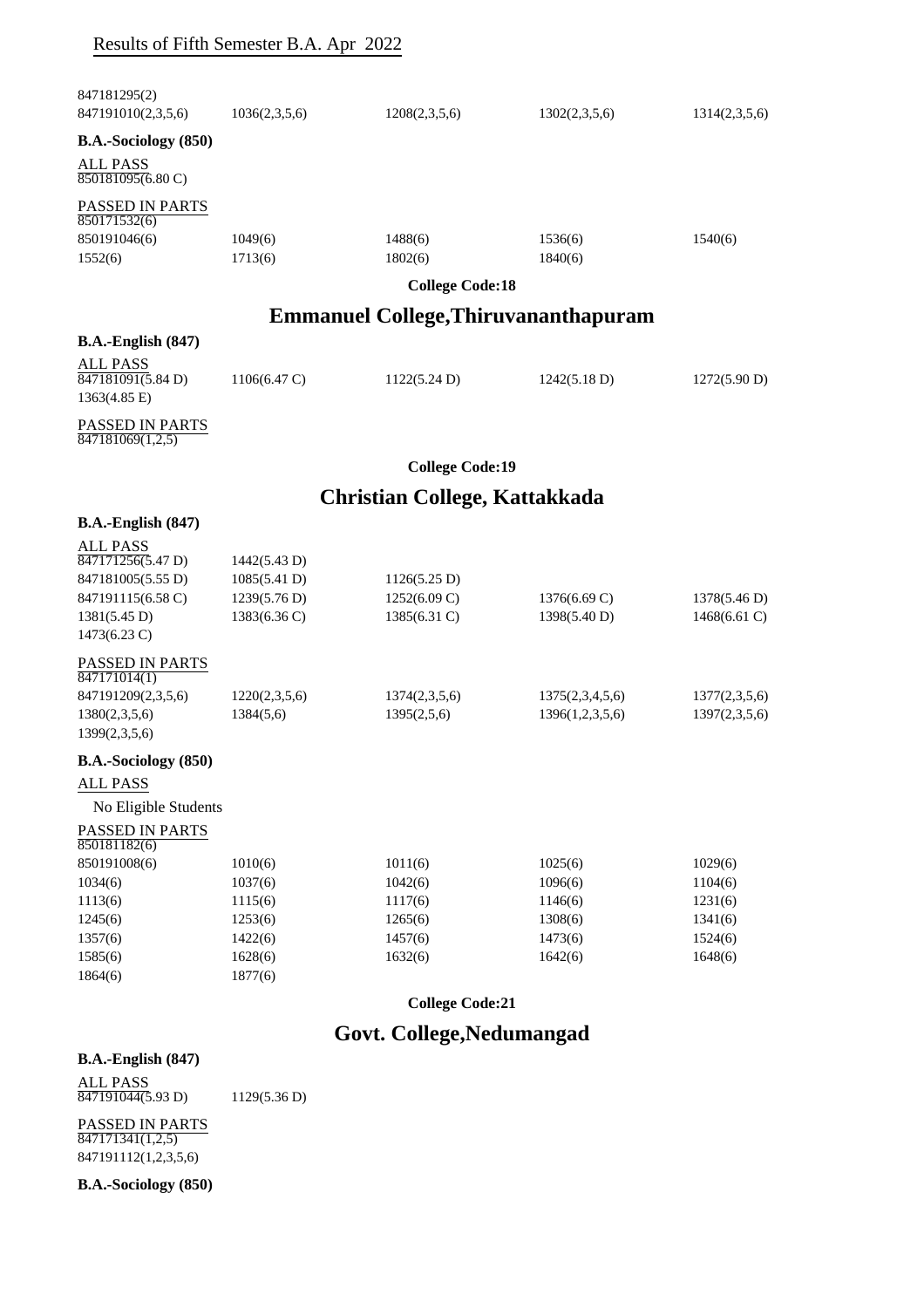# Results of Fifth Semester B.A. Apr 2022

| 847181295(2)<br>847191010(2,3,5,6)                                                                                                  | 1036(2,3,5,6)                                                | 1208(2,3,5,6)                                | 1302(2,3,5,6)                      | 1314(2,3,5,6)                  |
|-------------------------------------------------------------------------------------------------------------------------------------|--------------------------------------------------------------|----------------------------------------------|------------------------------------|--------------------------------|
| B.A.-Sociology (850)                                                                                                                |                                                              |                                              |                                    |                                |
| ALL PASS<br>850181095(6.80 C)                                                                                                       |                                                              |                                              |                                    |                                |
| PASSED IN PARTS<br>850171532(6)<br>850191046(6)<br>1552(6)                                                                          | 1049(6)<br>1713(6)                                           | 1488(6)<br>1802(6)                           | 1536(6)<br>1840(6)                 | 1540(6)                        |
|                                                                                                                                     |                                                              | <b>College Code:18</b>                       |                                    |                                |
|                                                                                                                                     |                                                              | <b>Emmanuel College, Thiruvananthapuram</b>  |                                    |                                |
| $B.A.-English (847)$                                                                                                                |                                                              |                                              |                                    |                                |
| ALL PASS<br>847181091(5.84 D)<br>$1363(4.85 \text{ E})$                                                                             | $1106(6.47 \text{ C})$                                       | 1122(5.24 D)                                 | 1242(5.18 D)                       | 1272(5.90 D)                   |
| PASSED IN PARTS<br>$\overline{847181069(1,2,5)}$                                                                                    |                                                              |                                              |                                    |                                |
|                                                                                                                                     |                                                              | <b>College Code:19</b>                       |                                    |                                |
|                                                                                                                                     |                                                              | Christian College, Kattakkada                |                                    |                                |
| <b>B.A.-English (847)</b>                                                                                                           |                                                              |                                              |                                    |                                |
| <b>ALL PASS</b><br>$\overline{847171256(5.47 \text{ D})}$<br>847181005(5.55 D)<br>847191115(6.58 C)<br>1381(5.45 D)<br>1473(6.23 C) | 1442(5.43 D)<br>1085(5.41 D)<br>1239(5.76 D)<br>1383(6.36 C) | 1126(5.25 D)<br>1252(6.09 C)<br>1385(6.31 C) | 1376(6.69 C)<br>1398(5.40 D)       | 1378(5.46 D)<br>1468(6.61 C)   |
| PASSED IN PARTS<br>$\overline{847171014(1)}$<br>847191209(2,3,5,6)<br>1380(2,3,5,6)<br>1399(2,3,5,6)                                | 1220(2,3,5,6)<br>1384(5,6)                                   | 1374(2,3,5,6)<br>1395(2,5,6)                 | 1375(2,3,4,5,6)<br>1396(1,2,3,5,6) | 1377(2,3,5,6)<br>1397(2,3,5,6) |
| B.A.-Sociology (850)                                                                                                                |                                                              |                                              |                                    |                                |
| ALL PASS                                                                                                                            |                                                              |                                              |                                    |                                |
| No Eligible Students                                                                                                                |                                                              |                                              |                                    |                                |
| PASSED IN PARTS<br>850181182(6)                                                                                                     |                                                              |                                              |                                    |                                |
| 850191008(6)<br>1034(6)                                                                                                             | 1010(6)<br>1037(6)                                           | 1011(6)<br>1042(6)                           | 1025(6)<br>1096(6)                 | 1029(6)<br>1104(6)             |
| 1113(6)                                                                                                                             | 1115(6)                                                      | 1117(6)                                      | 1146(6)                            | 1231(6)                        |
| 1245(6)                                                                                                                             | 1253(6)                                                      | 1265(6)                                      | 1308(6)                            | 1341(6)                        |
| 1357(6)                                                                                                                             | 1422(6)                                                      | 1457(6)                                      | 1473(6)                            | 1524(6)                        |
| 1585(6)                                                                                                                             | 1628(6)                                                      | 1632(6)                                      | 1642(6)                            | 1648(6)                        |
| 1864(6)                                                                                                                             | 1877(6)                                                      |                                              |                                    |                                |
|                                                                                                                                     |                                                              | <b>College Code:21</b>                       |                                    |                                |

# **Govt. College,Nedumangad**

ALL PASS  $\overline{847191044(5.93 \text{ D})}$  1129(5.36 D)

PASSED IN PARTS 847171341(1,2,5) 847191112(1,2,3,5,6)

**B.A.-Sociology (850)**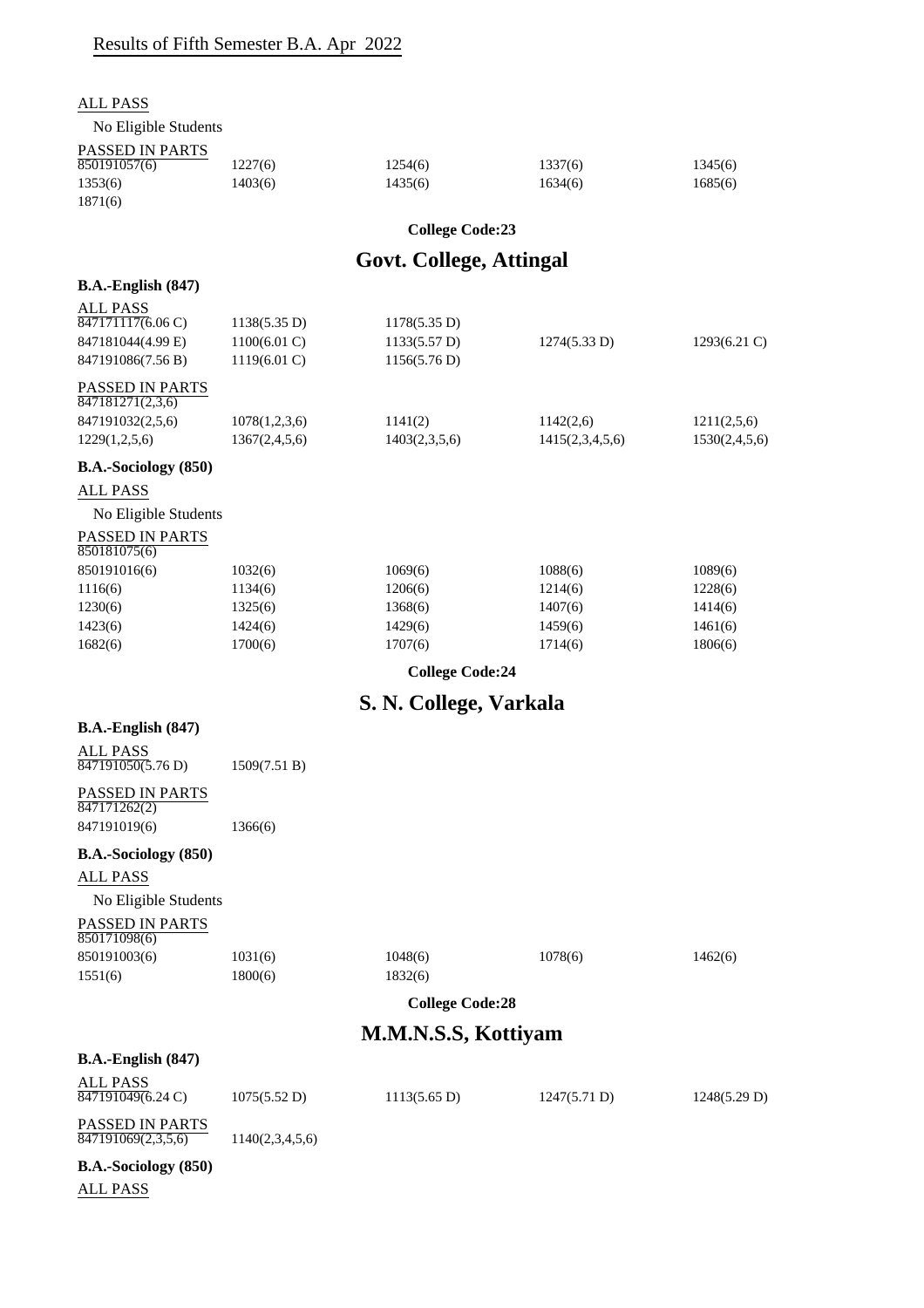| <b>ALL PASS</b>                                    |                        |                                |                    |                    |
|----------------------------------------------------|------------------------|--------------------------------|--------------------|--------------------|
| No Eligible Students                               |                        |                                |                    |                    |
| PASSED IN PARTS<br>850191057(6)                    | 1227(6)                | 1254(6)                        | 1337(6)            | 1345(6)            |
| 1353(6)<br>1871(6)                                 | 1403(6)                | 1435(6)                        | 1634(6)            | 1685(6)            |
|                                                    |                        | <b>College Code:23</b>         |                    |                    |
|                                                    |                        |                                |                    |                    |
|                                                    |                        | <b>Govt. College, Attingal</b> |                    |                    |
| $B.A.-English (847)$                               |                        |                                |                    |                    |
| <b>ALL PASS</b><br>847171117(6.06 C)               | 1138(5.35 D)           | 1178(5.35 D)                   |                    |                    |
| 847181044(4.99 E)                                  | $1100(6.01)$ C)        | 1133(5.57 D)                   | 1274(5.33 D)       | $1293(6.21)$ C)    |
| 847191086(7.56 B)                                  | $1119(6.01 \text{ C})$ | 1156(5.76 D)                   |                    |                    |
| PASSED IN PARTS<br>$\overline{847181271(2,3,6)}$   |                        |                                |                    |                    |
| 847191032(2,5,6)                                   | 1078(1,2,3,6)          | 1141(2)                        | 1142(2,6)          | 1211(2,5,6)        |
| 1229(1,2,5,6)                                      | 1367(2,4,5,6)          | 1403(2,3,5,6)                  | 1415(2,3,4,5,6)    | 1530(2,4,5,6)      |
| B.A.-Sociology (850)                               |                        |                                |                    |                    |
| <b>ALL PASS</b>                                    |                        |                                |                    |                    |
| No Eligible Students                               |                        |                                |                    |                    |
| PASSED IN PARTS<br>850181075(6)                    |                        |                                |                    |                    |
| 850191016(6)                                       | 1032(6)                | 1069(6)                        | 1088(6)            | 1089(6)            |
| 1116(6)                                            | 1134(6)                | 1206(6)                        | 1214(6)            | 1228(6)            |
| 1230(6)<br>1423(6)                                 | 1325(6)<br>1424(6)     | 1368(6)<br>1429(6)             | 1407(6)<br>1459(6) | 1414(6)<br>1461(6) |
| 1682(6)                                            | 1700(6)                | 1707(6)                        | 1714(6)            | 1806(6)            |
|                                                    |                        | <b>College Code:24</b>         |                    |                    |
|                                                    |                        |                                |                    |                    |
|                                                    |                        | S. N. College, Varkala         |                    |                    |
| $B.A.-English (847)$                               |                        |                                |                    |                    |
| <b>ALL PASS</b><br>$\sqrt{847191050(5.76)}$        | 1509(7.51 B)           |                                |                    |                    |
| PASSED IN PARTS                                    |                        |                                |                    |                    |
| 847171262(2)<br>847191019(6)                       | 1366(6)                |                                |                    |                    |
|                                                    |                        |                                |                    |                    |
| B.A.-Sociology (850)                               |                        |                                |                    |                    |
| ALL PASS                                           |                        |                                |                    |                    |
| No Eligible Students                               |                        |                                |                    |                    |
| PASSED IN PARTS<br>850171098(6)                    |                        |                                |                    |                    |
| 850191003(6)                                       | 1031(6)                | 1048(6)                        | 1078(6)            | 1462(6)            |
| 1551(6)                                            | 1800(6)                | 1832(6)                        |                    |                    |
|                                                    |                        | <b>College Code:28</b>         |                    |                    |
|                                                    |                        | M.M.N.S.S, Kottiyam            |                    |                    |
| $B.A.-English (847)$                               |                        |                                |                    |                    |
| <b>ALL PASS</b>                                    |                        |                                |                    |                    |
| $847191049(6.24 \text{ C})$                        | 1075(5.52 D)           | $1113(5.65 \text{ D})$         | 1247(5.71 D)       | 1248(5.29 D)       |
| PASSED IN PARTS<br>$\overline{847191069(2,3,5,6)}$ | 1140(2,3,4,5,6)        |                                |                    |                    |
| B.A.-Sociology (850)                               |                        |                                |                    |                    |
| <b>ALL PASS</b>                                    |                        |                                |                    |                    |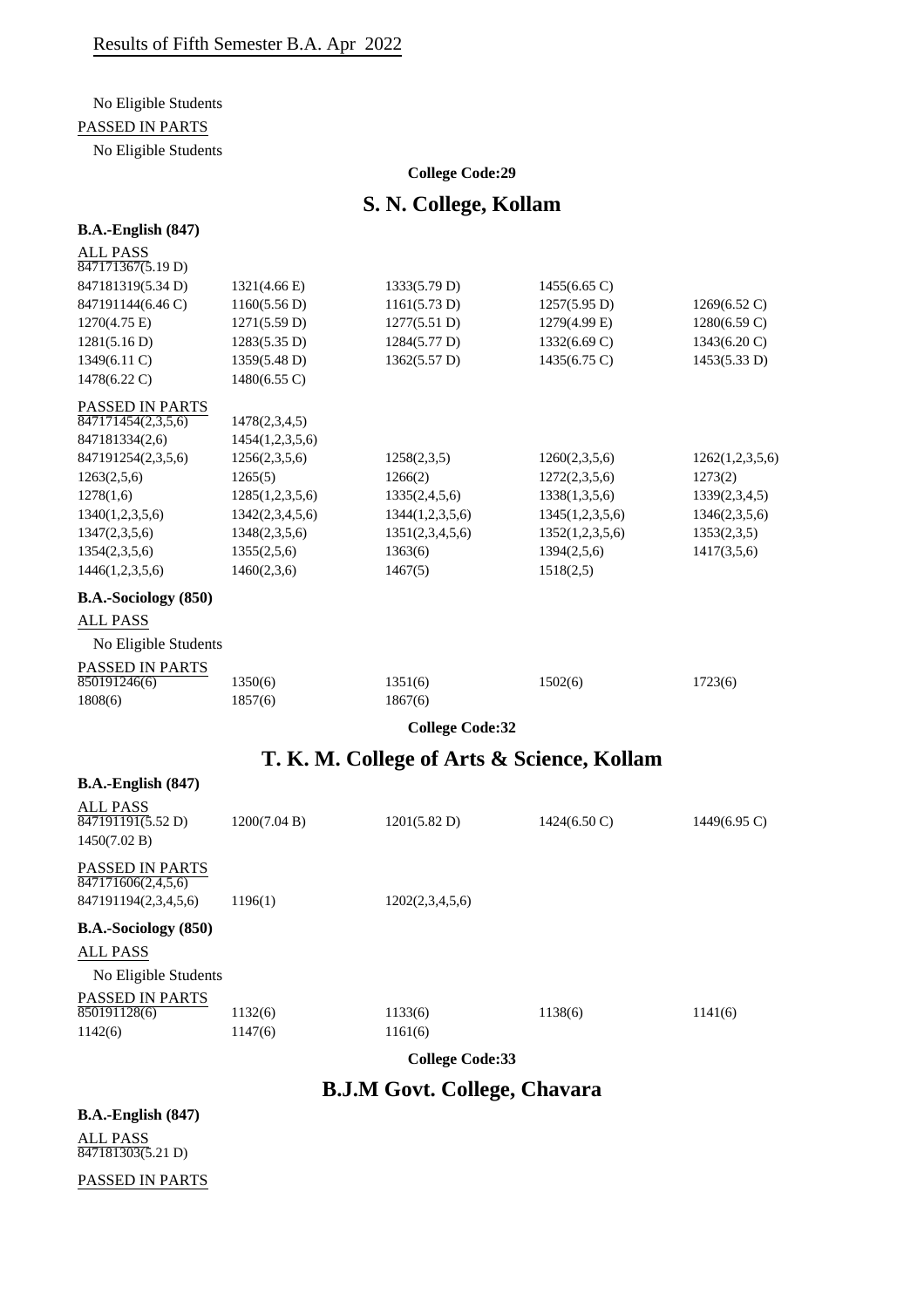# No Eligible Students

PASSED IN PARTS

No Eligible Students

#### **College Code:29**

# **S. N. College, Kollam**

### **B.A.-English (847)**

| <b>ALL PASS</b><br>$\overline{847171367(5.19 D)}$ |                 |                                            |                        |                 |
|---------------------------------------------------|-----------------|--------------------------------------------|------------------------|-----------------|
| 847181319(5.34 D)                                 | 1321(4.66 E)    | 1333(5.79 D)                               | 1455(6.65 C)           |                 |
| 847191144(6.46 C)                                 | 1160(5.56 D)    | 1161(5.73 D)                               | 1257(5.95 D)           | 1269(6.52 C)    |
| 1270(4.75 E)                                      | 1271(5.59 D)    | 1277(5.51 D)                               | 1279(4.99 E)           | 1280(6.59 C)    |
| 1281(5.16 D)                                      | 1283(5.35 D)    | 1284(5.77 D)                               | 1332(6.69 C)           | 1343(6.20 C)    |
| 1349(6.11 C)                                      | 1359(5.48 D)    | 1362(5.57 D)                               | 1435(6.75 C)           | 1453(5.33 D)    |
| 1478(6.22 C)                                      | 1480(6.55 C)    |                                            |                        |                 |
| PASSED IN PARTS                                   |                 |                                            |                        |                 |
| $\overline{847171454(2,3,5,6)}$                   | 1478(2,3,4,5)   |                                            |                        |                 |
| 847181334(2,6)                                    | 1454(1,2,3,5,6) |                                            |                        |                 |
| 847191254(2,3,5,6)                                | 1256(2,3,5,6)   | 1258(2,3,5)                                | 1260(2,3,5,6)          | 1262(1,2,3,5,6) |
| 1263(2,5,6)                                       | 1265(5)         | 1266(2)                                    | 1272(2,3,5,6)          | 1273(2)         |
| 1278(1,6)                                         | 1285(1,2,3,5,6) | 1335(2,4,5,6)                              | 1338(1,3,5,6)          | 1339(2,3,4,5)   |
| 1340(1,2,3,5,6)                                   | 1342(2,3,4,5,6) | 1344(1,2,3,5,6)                            | 1345(1,2,3,5,6)        | 1346(2,3,5,6)   |
| 1347(2,3,5,6)                                     | 1348(2,3,5,6)   | 1351(2,3,4,5,6)                            | 1352(1,2,3,5,6)        | 1353(2,3,5)     |
| 1354(2,3,5,6)                                     | 1355(2,5,6)     | 1363(6)                                    | 1394(2,5,6)            | 1417(3,5,6)     |
| 1446(1,2,3,5,6)                                   | 1460(2,3,6)     | 1467(5)                                    | 1518(2,5)              |                 |
| B.A.-Sociology (850)                              |                 |                                            |                        |                 |
| <b>ALL PASS</b>                                   |                 |                                            |                        |                 |
| No Eligible Students                              |                 |                                            |                        |                 |
| PASSED IN PARTS                                   |                 |                                            |                        |                 |
| 850191246(6)                                      | 1350(6)         | 1351(6)                                    | 1502(6)                | 1723(6)         |
| 1808(6)                                           | 1857(6)         | 1867(6)                                    |                        |                 |
|                                                   |                 | <b>College Code:32</b>                     |                        |                 |
|                                                   |                 | T. K. M. College of Arts & Science, Kollam |                        |                 |
| <b>B.A.-English (847)</b>                         |                 |                                            |                        |                 |
| <b>ALL PASS</b>                                   |                 |                                            |                        |                 |
| $\sqrt{847191191(5.52 \text{ D})}$                | 1200(7.04 B)    | 1201(5.82 D)                               | $1424(6.50 \text{ C})$ | $1449(6.95)$ C) |
| 1450(7.02 B)                                      |                 |                                            |                        |                 |
| PASSED IN PARTS<br>847171606(2,4,5,6)             |                 |                                            |                        |                 |
| 847191194(2,3,4,5,6)                              | 1196(1)         | 1202(2,3,4,5,6)                            |                        |                 |
|                                                   |                 |                                            |                        |                 |
| B.A.-Sociology (850)                              |                 |                                            |                        |                 |
| <b>ALL PASS</b>                                   |                 |                                            |                        |                 |

No Eligible Students

# PASSED IN PARTS

| 850191128(6) | 1132(6) | 1133(6) | 1138(6) | 1141(6) |
|--------------|---------|---------|---------|---------|
| 1142(6)      | 1147(6) | 1161(6) |         |         |

**College Code:33**

**B.J.M Govt. College, Chavara**

**B.A.-English (847)** ALL PASS 847181303(5.21 D)

PASSED IN PARTS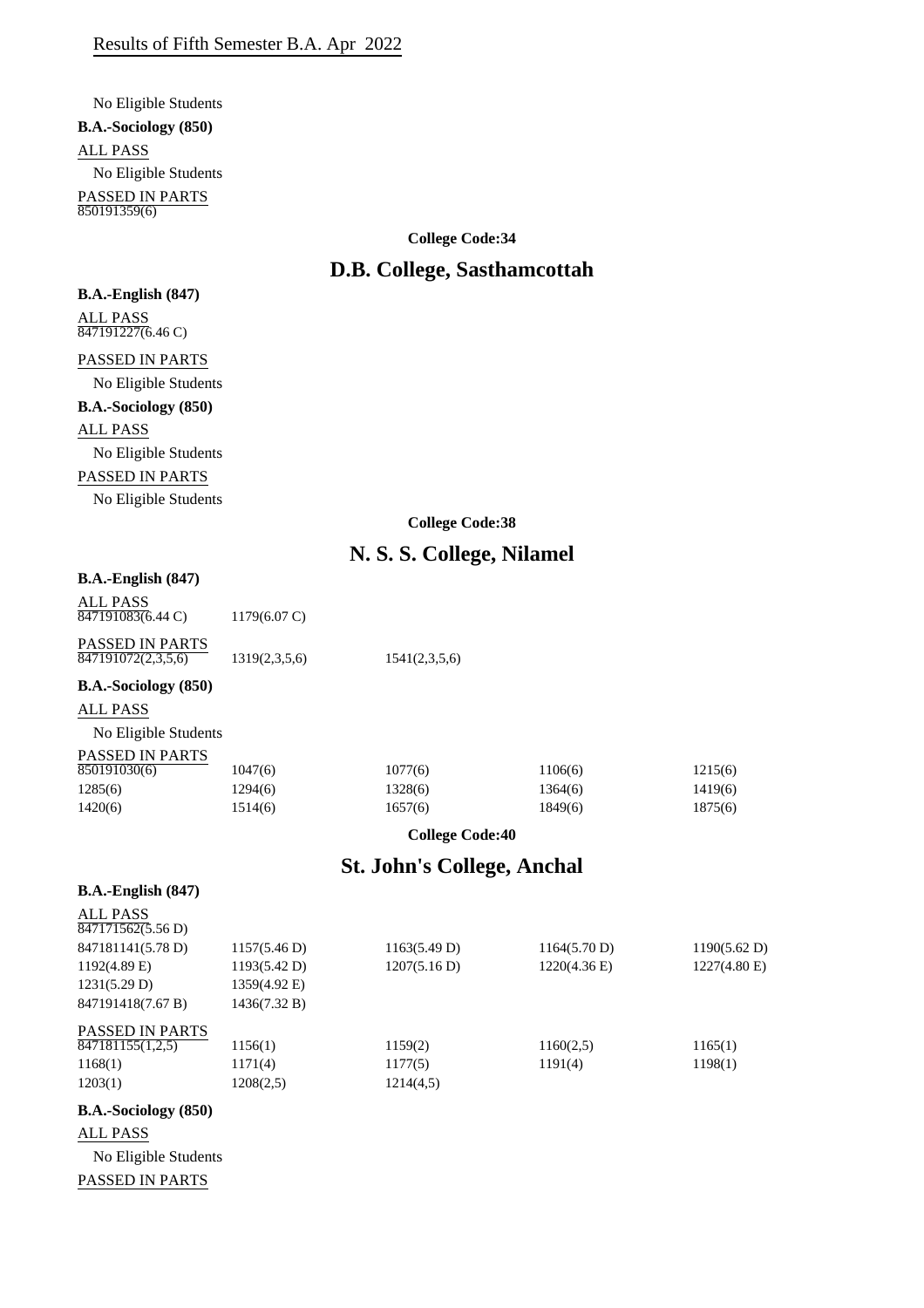No Eligible Students **B.A.-Sociology (850)** ALL PASS No Eligible Students PASSED IN PARTS 850191359(6)

**College Code:34**

# **D.B. College, Sasthamcottah**

PASSED IN PARTS No Eligible Students **B.A.-Sociology (850)** ALL PASS No Eligible Students PASSED IN PARTS No Eligible Students

**B.A.-English (847)**

 $\frac{1}{847191227(6.46 \text{ C})}$ 

ALL PASS

**College Code:38**

# **N. S. S. College, Nilamel**

| B.A.-English (847) |  |
|--------------------|--|
|--------------------|--|

| ALL PASS          |                        |
|-------------------|------------------------|
| 847191083(6.44 C) | $1179(6.07 \text{ C})$ |

| PASSED IN PARTS    |               |               |
|--------------------|---------------|---------------|
| 847191072(2,3,5,6) | 1319(2,3,5,6) | 1541(2,3,5,6) |

**B.A.-Sociology (850)**

ALL PASS

No Eligible Students PASSED IN PARTS 850191030(6) 1047(6) 1047(6) 1077(6) 1106(6) 1215(6) 1294(6) 1328(6) 1364(6) 1419(6)

1420(6) 1514(6) 1657(6) 1689(6) 1875(6)

**College Code:40**

# **St. John's College, Anchal**

**B.A.-English (847)**

| <b>B.A.</b> -Sociology (850)               |              |              |                 |              |
|--------------------------------------------|--------------|--------------|-----------------|--------------|
| 1203(1)                                    | 1208(2,5)    | 1214(4,5)    |                 |              |
| 1168(1)                                    | 1171(4)      | 1177(5)      | 1191(4)         | 1198(1)      |
| <b>PASSED IN PARTS</b><br>847181155(1,2,5) | 1156(1)      | 1159(2)      | 1160(2,5)       | 1165(1)      |
| 847191418(7.67 B)                          | 1436(7.32 B) |              |                 |              |
| 1231(5.29 D)                               | 1359(4.92 E) |              |                 |              |
| $1192(4.89)$ E)                            | 1193(5.42 D) | 1207(5.16 D) | $1220(4.36)$ E) | 1227(4.80 E) |
| 847181141(5.78 D)                          | 1157(5.46 D) | 1163(5.49 D) | 1164(5.70 D)    | 1190(5.62 D) |
| <b>ALL PASS</b><br>847171562(5.56 D)       |              |              |                 |              |
|                                            |              |              |                 |              |

## **B.A.-Sociology (850)**

ALL PASS No Eligible Students PASSED IN PARTS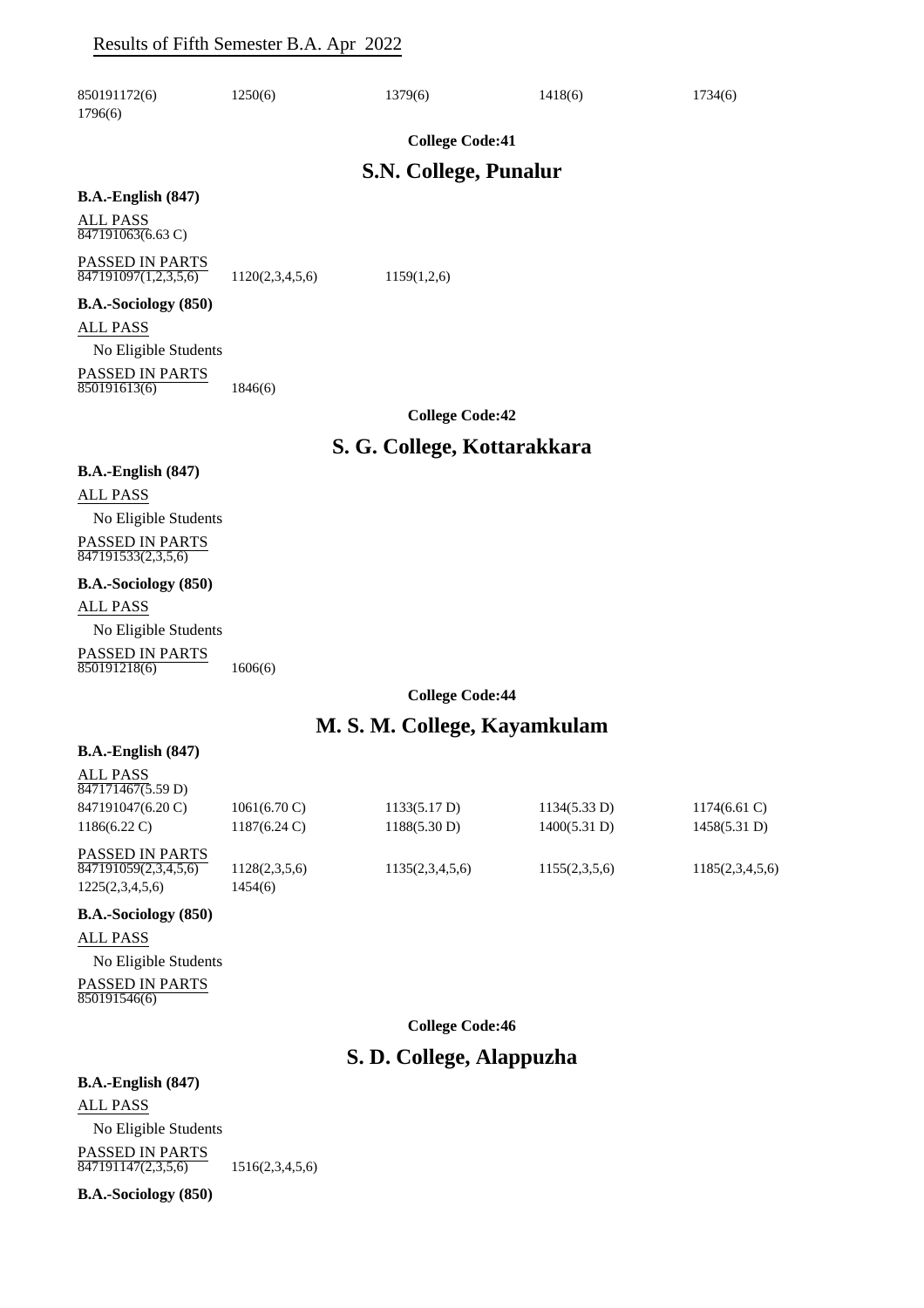### Results of Fifth Semester B.A. Apr 2022

| 850191172(6)<br>1796(6)                              | 1250(6)         | 1379(6)                      | 1418(6) | 1734(6) |
|------------------------------------------------------|-----------------|------------------------------|---------|---------|
|                                                      |                 | <b>College Code:41</b>       |         |         |
|                                                      |                 | <b>S.N. College, Punalur</b> |         |         |
| $B.A.-English (847)$                                 |                 |                              |         |         |
| <b>ALL PASS</b><br>$847191063(6.63 \text{ C})$       |                 |                              |         |         |
| PASSED IN PARTS<br>$\overline{847191097(1,2,3,5,6)}$ | 1120(2,3,4,5,6) | 1159(1,2,6)                  |         |         |
| <b>B.A.-Sociology</b> (850)                          |                 |                              |         |         |
| <b>ALL PASS</b>                                      |                 |                              |         |         |
| No Eligible Students                                 |                 |                              |         |         |
| PASSED IN PARTS<br>850191613(6)                      | 1846(6)         |                              |         |         |
|                                                      |                 | <b>College Code:42</b>       |         |         |
|                                                      |                 | S. G. College, Kottarakkara  |         |         |
| <b>B.A.-English (847)</b>                            |                 |                              |         |         |
| <b>ALL PASS</b>                                      |                 |                              |         |         |
| No Eligible Students                                 |                 |                              |         |         |
| PASSED IN PARTS<br>847191533(2,3,5,6)                |                 |                              |         |         |
| B.A.-Sociology (850)                                 |                 |                              |         |         |
| <b>ALL PASS</b>                                      |                 |                              |         |         |
| No Eligible Students                                 |                 |                              |         |         |
| PASSED IN PARTS<br>850191218(6)                      | 1606(6)         |                              |         |         |
|                                                      |                 | <b>College Code:44</b>       |         |         |
|                                                      |                 | $\sim$ $\blacksquare$        |         |         |

### **M. S. M. College, Kayamkulam**

#### **B.A.-English (847)**

ALL PASS

| 847171467(5.59 D)      |                        |                 |               |                 |
|------------------------|------------------------|-----------------|---------------|-----------------|
| 847191047(6.20 C)      | $1061(6.70 \text{ C})$ | 1133(5.17 D)    | 1134(5.33 D)  | $1174(6.61)$ C) |
| $1186(6.22 \text{ C})$ | $1187(6.24 \text{ C})$ | 1188(5.30 D)    | 1400(5.31 D)  | 1458(5.31 D)    |
| PASSED IN PARTS        |                        |                 |               |                 |
| 847191059(2,3,4,5,6)   | 1128(2,3,5,6)          | 1135(2,3,4,5,6) | 1155(2,3,5,6) | 1185(2,3,4,5,6) |
| 1225(2,3,4,5,6)        | 1454(6)                |                 |               |                 |

#### **B.A.-Sociology (850)**

ALL PASS

No Eligible Students PASSED IN PARTS 850191546(6)

**College Code:46**

# **S. D. College, Alappuzha**

**B.A.-English (847)** ALL PASS

No Eligible Students PASSED IN PARTS  $\overline{847191147(2,3,5,6)}$  1516(2,3,4,5,6)

**B.A.-Sociology (850)**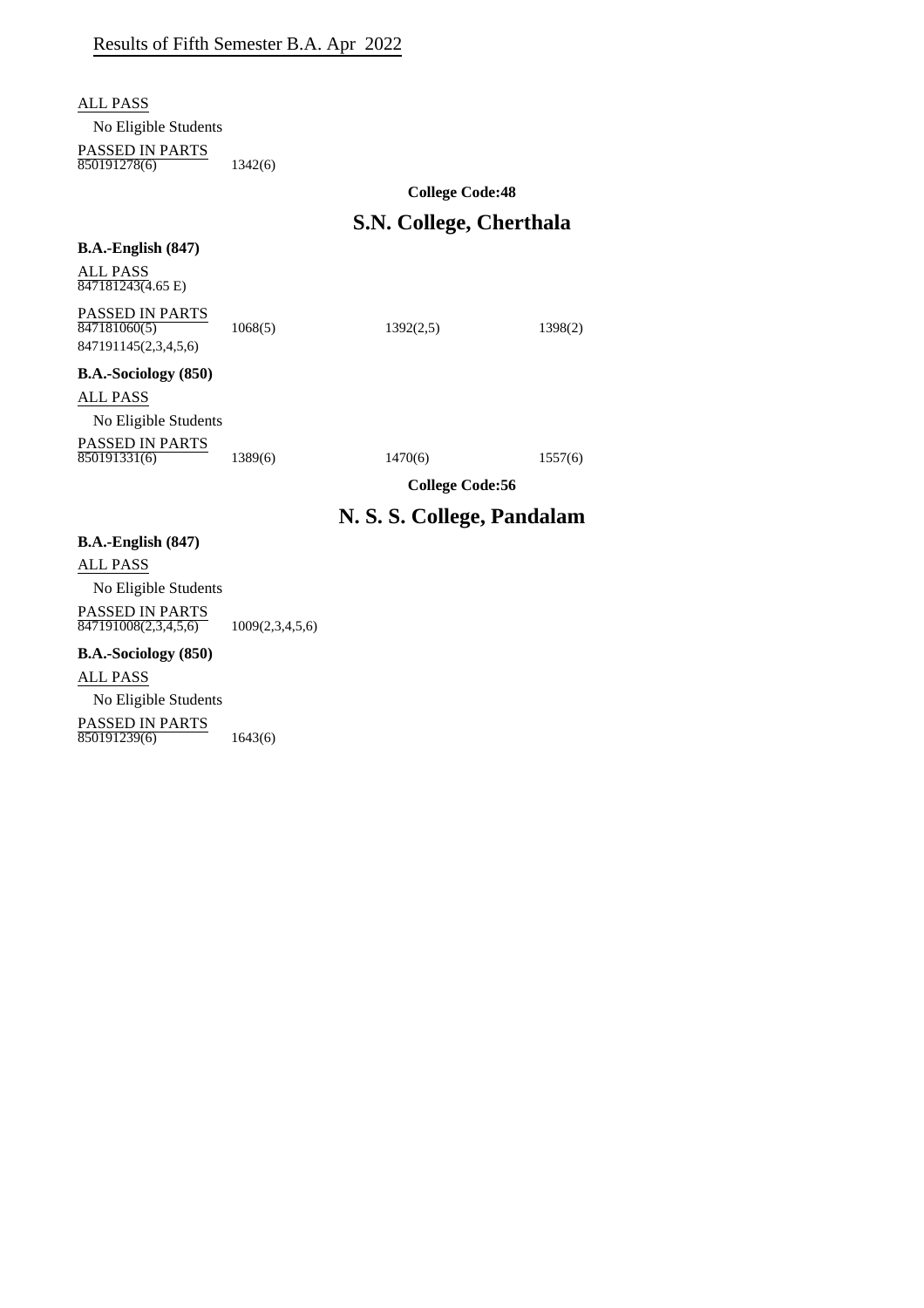ALL PASS

No Eligible Students

PASSED IN PARTS

850191278(6) 1342(6)

### **College Code:48**

# **S.N. College, Cherthala**

| $B.A.-English (847)$                                |                 |                            |         |
|-----------------------------------------------------|-----------------|----------------------------|---------|
| <b>ALL PASS</b><br>$847181243(4.65 \text{ E})$      |                 |                            |         |
| <b>PASSED IN PARTS</b><br>847181060(5)              | 1068(5)         | 1392(2,5)                  | 1398(2) |
| 847191145(2,3,4,5,6)<br><b>B.A.-Sociology</b> (850) |                 |                            |         |
| ALL PASS                                            |                 |                            |         |
| No Eligible Students                                |                 |                            |         |
| <b>PASSED IN PARTS</b><br>850191331(6)              | 1389(6)         | 1470(6)                    | 1557(6) |
|                                                     |                 | <b>College Code:56</b>     |         |
|                                                     |                 | N. S. S. College, Pandalam |         |
| $B.A.-English (847)$                                |                 |                            |         |
| <b>ALL PASS</b>                                     |                 |                            |         |
| No Eligible Students                                |                 |                            |         |
| <b>PASSED IN PARTS</b><br>847191008(2,3,4,5,6)      | 1009(2,3,4,5,6) |                            |         |
| <b>B.A.-Sociology</b> (850)                         |                 |                            |         |
| ALL PASS                                            |                 |                            |         |
| No Eligible Students                                |                 |                            |         |

PASSED IN PARTS

850191239(6) 1643(6)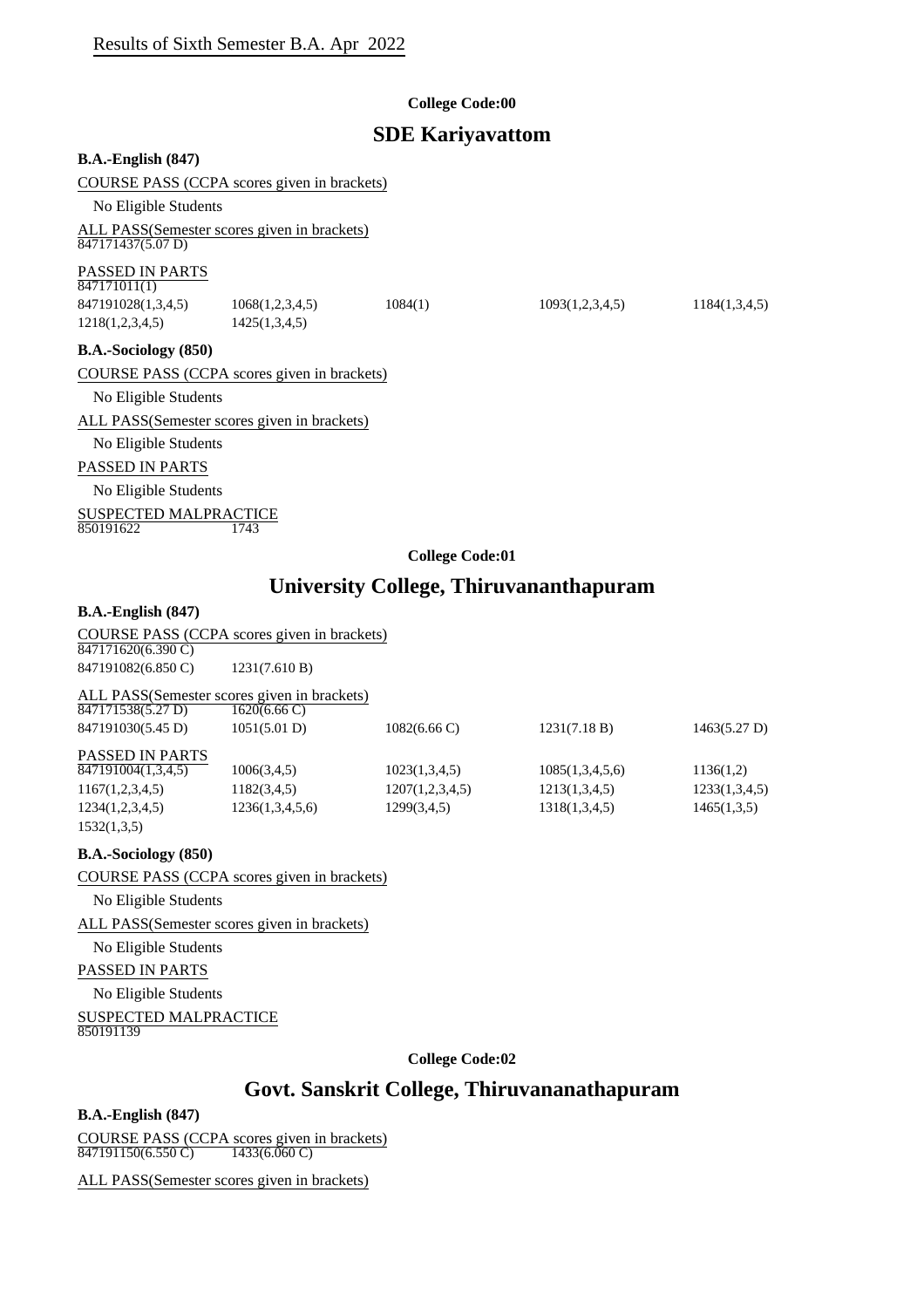#### **College Code:00**

### **SDE Kariyavattom**

**B.A.-English (847)**

COURSE PASS (CCPA scores given in brackets)

No Eligible Students

ALL PASS(Semester scores given in brackets)  $847171437(5.07 D)$ 

#### PASSED IN PARTS

 $847171011(1)$ 

847191028(1,3,4,5) 1068(1,2,3,4,5) 1084(1) 1093(1,2,3,4,5) 1184(1,3,4,5) 1218(1,2,3,4,5) 1425(1,3,4,5)

**B.A.-Sociology (850)**

COURSE PASS (CCPA scores given in brackets)

No Eligible Students

ALL PASS(Semester scores given in brackets)

No Eligible Students

#### PASSED IN PARTS

No Eligible Students

SUSPECTED MALPRACTICE 850191622

**College Code:01**

# **University College, Thiruvananthapuram**

#### **B.A.-English (847)**

COURSE PASS (CCPA scores given in brackets)

847171620(6.390 C) 847191082(6.850 C) 1231(7.610 B)

ALL PASS(Semester scores given in brackets)

| 847171538(5.27 D)      | $1620(6.66 \text{ C})$ |                        |                 |               |
|------------------------|------------------------|------------------------|-----------------|---------------|
| 847191030(5.45 D)      | 1051(5.01 D)           | $1082(6.66 \text{ C})$ | 1231(7.18 B)    | 1463(5.27 D)  |
| <b>PASSED IN PARTS</b> |                        |                        |                 |               |
| 847191004(1,3,4,5)     | 1006(3,4,5)            | 1023(1,3,4,5)          | 1085(1,3,4,5,6) | 1136(1,2)     |
| 1167(1,2,3,4,5)        | 1182(3,4,5)            | 1207(1,2,3,4,5)        | 1213(1,3,4,5)   | 1233(1,3,4,5) |
| 1234(1,2,3,4,5)        | 1236(1,3,4,5,6)        | 1299(3,4,5)            | 1318(1,3,4,5)   | 1465(1,3,5)   |
| 1532(1,3,5)            |                        |                        |                 |               |

#### **B.A.-Sociology (850)**

COURSE PASS (CCPA scores given in brackets)

No Eligible Students

ALL PASS(Semester scores given in brackets)

No Eligible Students

PASSED IN PARTS

No Eligible Students

SUSPECTED MALPRACTICE 850191139

**College Code:02**

# **Govt. Sanskrit College, Thiruvananathapuram**

#### **B.A.-English (847)**

COURSE PASS (CCPA scores given in brackets) 847191150(6.550 C) 1433(6.060 C)

ALL PASS(Semester scores given in brackets)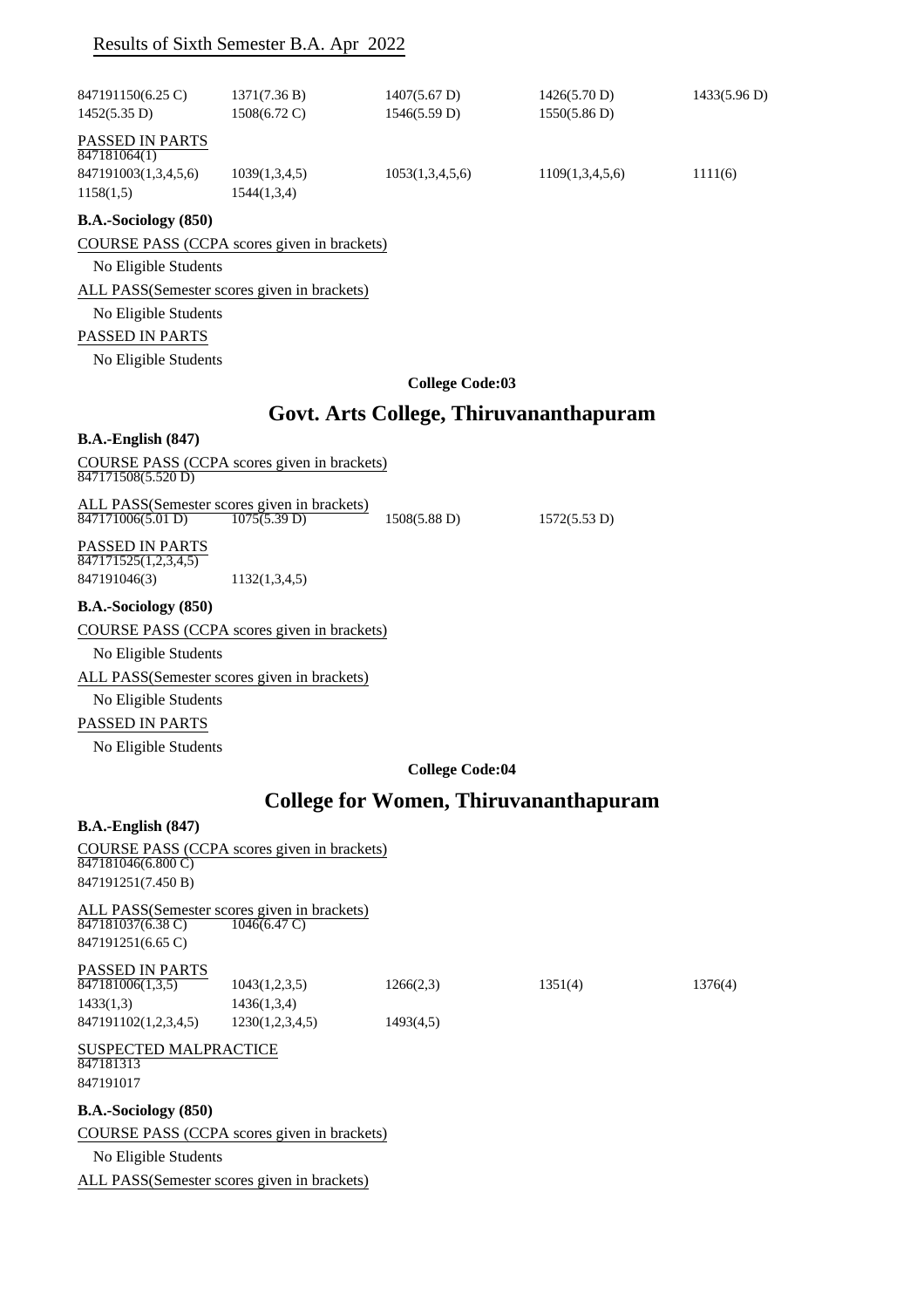|                                                                      | Results of Sixth Semester B.A. Apr 2022                               |                                        |                                              |              |
|----------------------------------------------------------------------|-----------------------------------------------------------------------|----------------------------------------|----------------------------------------------|--------------|
| 847191150(6.25 C)<br>1452(5.35 D)                                    | 1371(7.36 B)<br>1508(6.72 C)                                          | $1407(5.67 \text{ D})$<br>1546(5.59 D) | 1426(5.70 D)<br>1550(5.86 D)                 | 1433(5.96 D) |
| PASSED IN PARTS<br>847181064(1)<br>847191003(1,3,4,5,6)<br>1158(1,5) | 1039(1,3,4,5)<br>1544(1,3,4)                                          | 1053(1,3,4,5,6)                        | 1109(1,3,4,5,6)                              | 1111(6)      |
| B.A.-Sociology (850)                                                 |                                                                       |                                        |                                              |              |
|                                                                      | COURSE PASS (CCPA scores given in brackets)                           |                                        |                                              |              |
| No Eligible Students                                                 |                                                                       |                                        |                                              |              |
|                                                                      | ALL PASS(Semester scores given in brackets)                           |                                        |                                              |              |
| No Eligible Students                                                 |                                                                       |                                        |                                              |              |
| PASSED IN PARTS                                                      |                                                                       |                                        |                                              |              |
| No Eligible Students                                                 |                                                                       |                                        |                                              |              |
|                                                                      |                                                                       | <b>College Code:03</b>                 |                                              |              |
|                                                                      |                                                                       |                                        |                                              |              |
|                                                                      |                                                                       |                                        | Govt. Arts College, Thiruvananthapuram       |              |
| $B.A.-English (847)$                                                 |                                                                       |                                        |                                              |              |
| 847171508(5.520 D)                                                   | COURSE PASS (CCPA scores given in brackets)                           |                                        |                                              |              |
| 847171006(5.01 D)                                                    | ALL PASS(Semester scores given in brackets)<br>1075(5.39 D)           | $1508(5.88 \text{ D})$                 | 1572(5.53 D)                                 |              |
| PASSED IN PARTS                                                      |                                                                       |                                        |                                              |              |
| 847171525(1,2,3,4,5)<br>847191046(3)                                 | 1132(1,3,4,5)                                                         |                                        |                                              |              |
|                                                                      |                                                                       |                                        |                                              |              |
| B.A.-Sociology (850)                                                 |                                                                       |                                        |                                              |              |
|                                                                      | COURSE PASS (CCPA scores given in brackets)                           |                                        |                                              |              |
| No Eligible Students                                                 |                                                                       |                                        |                                              |              |
|                                                                      | ALL PASS(Semester scores given in brackets)                           |                                        |                                              |              |
| No Eligible Students                                                 |                                                                       |                                        |                                              |              |
| PASSED IN PARTS                                                      |                                                                       |                                        |                                              |              |
| No Eligible Students                                                 |                                                                       |                                        |                                              |              |
|                                                                      |                                                                       | <b>College Code:04</b>                 |                                              |              |
|                                                                      |                                                                       |                                        | <b>College for Women, Thiruvananthapuram</b> |              |
| $B.A.-English (847)$                                                 |                                                                       |                                        |                                              |              |
| 847181046(6.800 C)<br>847191251(7.450 B)                             | COURSE PASS (CCPA scores given in brackets)                           |                                        |                                              |              |
| 847181037(6.38 C)<br>847191251(6.65 C)                               | ALL PASS(Semester scores given in brackets)<br>$1046(6.47 \text{ C})$ |                                        |                                              |              |
|                                                                      |                                                                       |                                        |                                              |              |
| PASSED IN PARTS<br>847181006(1,3,5)                                  | 1043(1,2,3,5)                                                         | 1266(2,3)                              | 1351(4)                                      | 1376(4)      |
| 1433(1,3)                                                            | 1436(1,3,4)                                                           |                                        |                                              |              |
| 847191102(1,2,3,4,5)                                                 | 1230(1,2,3,4,5)                                                       | 1493(4,5)                              |                                              |              |
| <b>SUSPECTED MALPRACTICE</b><br>847181313<br>847191017               |                                                                       |                                        |                                              |              |
| B.A.-Sociology (850)                                                 |                                                                       |                                        |                                              |              |
|                                                                      | COURSE PASS (CCPA scores given in brackets)                           |                                        |                                              |              |
| No Eligible Students                                                 |                                                                       |                                        |                                              |              |
|                                                                      | ALL PASS(Semester scores given in brackets)                           |                                        |                                              |              |
|                                                                      |                                                                       |                                        |                                              |              |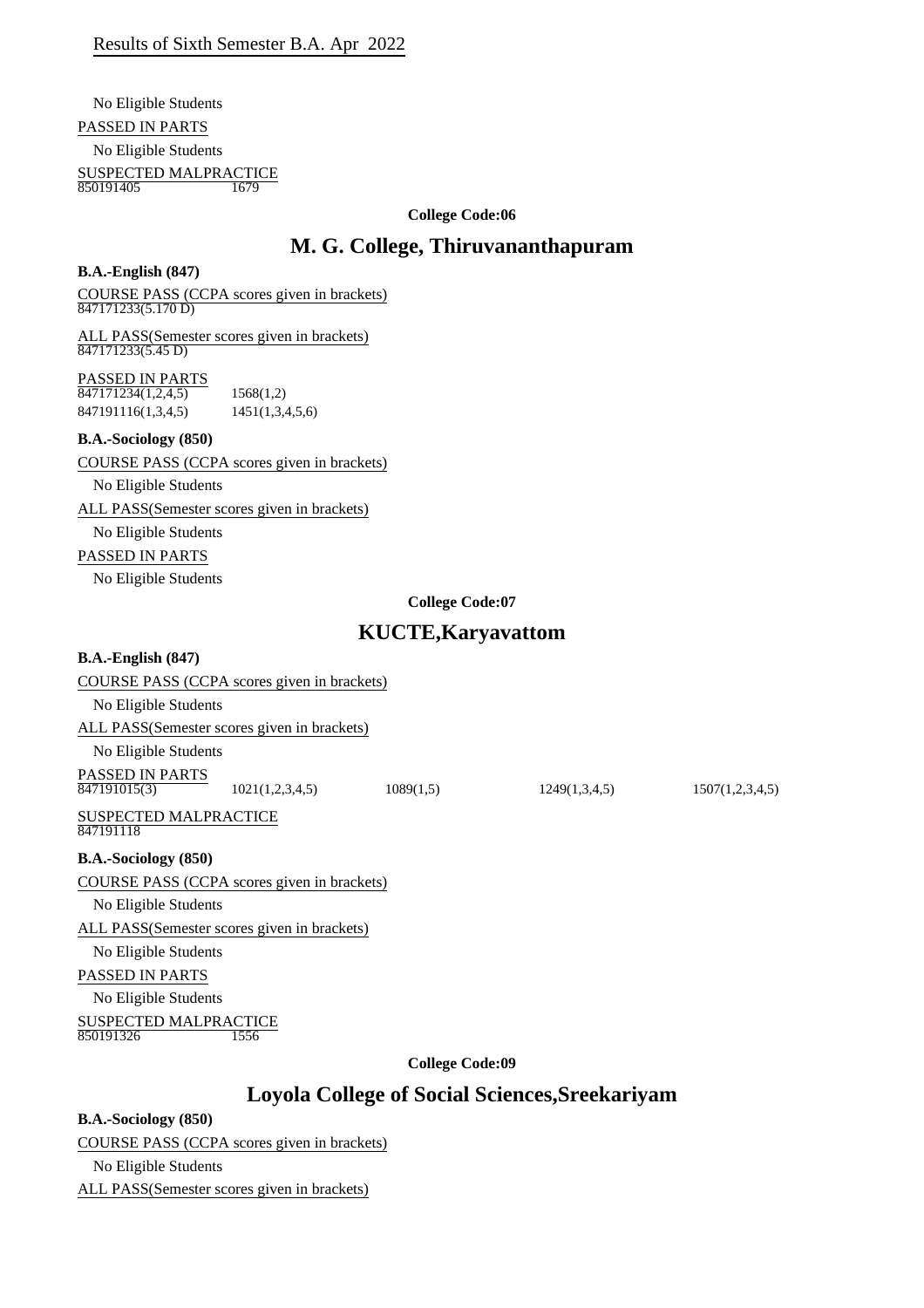No Eligible Students

#### PASSED IN PARTS

No Eligible Students

SUSPECTED MALPRACTICE<br>850191405 1679 850191405

#### **College Code:06**

# **M. G. College, Thiruvananthapuram**

#### **B.A.-English (847)**

COURSE PASS (CCPA scores given in brackets) 847171233(5.170 D)

ALL PASS(Semester scores given in brackets)  $\frac{1}{847171233(5.45 \text{ D})}$ 

#### PASSED IN PARTS

 $\overline{847171234(1,2,4,5)}$  1568(1,2) 847191116(1,3,4,5) 1451(1,3,4,5,6)

#### **B.A.-Sociology (850)**

COURSE PASS (CCPA scores given in brackets)

#### No Eligible Students

ALL PASS(Semester scores given in brackets)

No Eligible Students

#### PASSED IN PARTS

No Eligible Students

#### **College Code:07**

# **KUCTE,Karyavattom**

#### **B.A.-English (847)**

#### COURSE PASS (CCPA scores given in brackets)

No Eligible Students

ALL PASS(Semester scores given in brackets)

#### No Eligible Students

PASSED IN PARTS<br>847191015(3)

1021(1,2,3,4,5) 1089(1,5) 1249(1,3,4,5) 1507(1,2,3,4,5)

#### SUSPECTED MALPRACTICE 847191118

#### **B.A.-Sociology (850)**

COURSE PASS (CCPA scores given in brackets)

No Eligible Students

ALL PASS(Semester scores given in brackets)

No Eligible Students

PASSED IN PARTS

No Eligible Students

#### SUSPECTED MALPRACTICE<br>850191326 1556 850191326

**College Code:09**

# **Loyola College of Social Sciences,Sreekariyam**

#### **B.A.-Sociology (850)**

COURSE PASS (CCPA scores given in brackets)

No Eligible Students

ALL PASS(Semester scores given in brackets)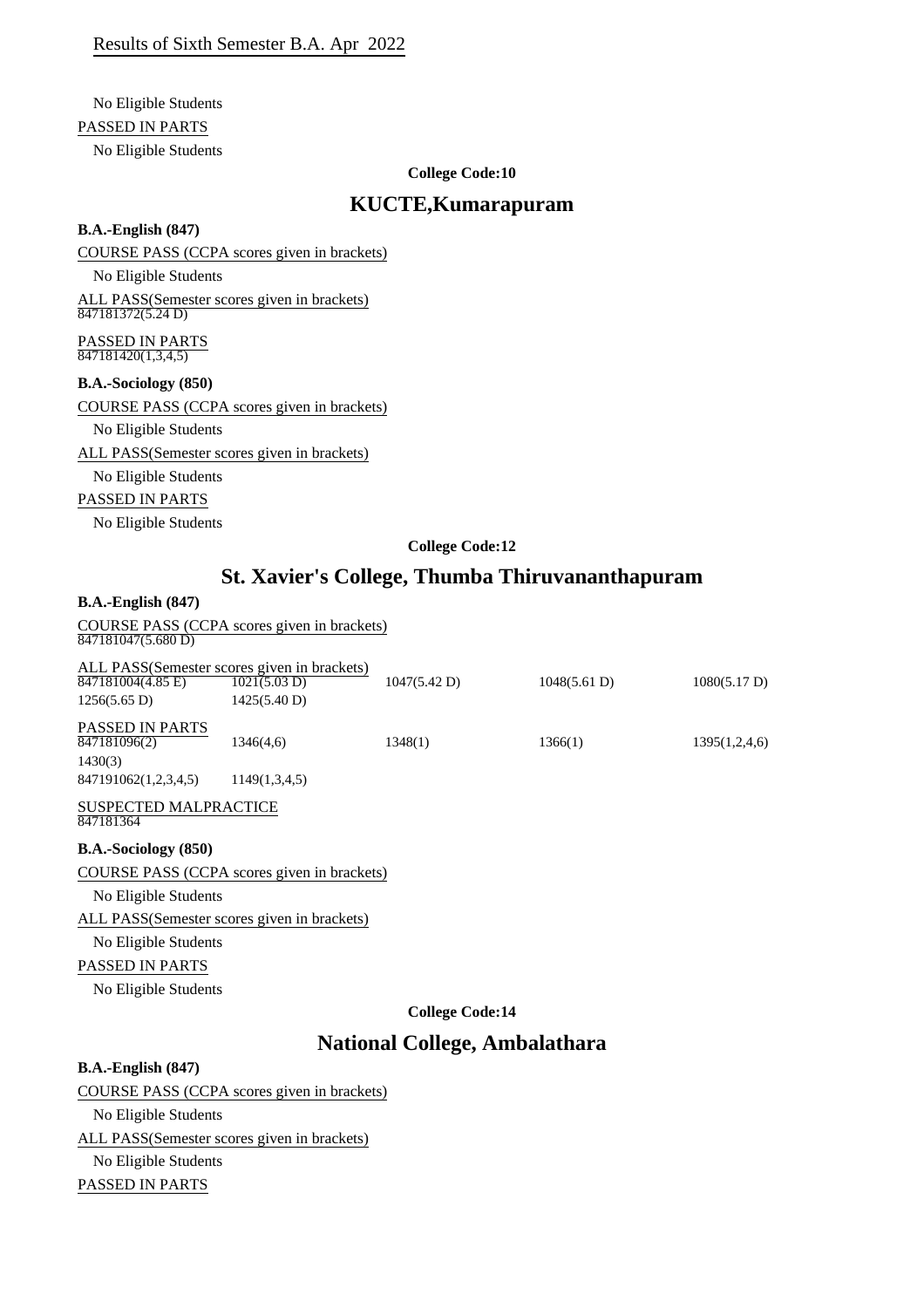# No Eligible Students

PASSED IN PARTS

No Eligible Students

#### **College Code:10**

### **KUCTE,Kumarapuram**

#### **B.A.-English (847)**

COURSE PASS (CCPA scores given in brackets)

No Eligible Students

ALL PASS(Semester scores given in brackets)  $\overline{847181372(5.24 \text{ D})}$ 

PASSED IN PARTS 847181420(1,3,4,5)

#### **B.A.-Sociology (850)**

COURSE PASS (CCPA scores given in brackets)

No Eligible Students

ALL PASS(Semester scores given in brackets)

No Eligible Students

#### PASSED IN PARTS

No Eligible Students

#### **College Code:12**

# **St. Xavier's College, Thumba Thiruvananthapuram**

#### **B.A.-English (847)**

COURSE PASS (CCPA scores given in brackets) 847181047(5.680 D)

|                                        | ALL PASS(Semester scores given in brackets)  |              |              |               |
|----------------------------------------|----------------------------------------------|--------------|--------------|---------------|
| 847181004(4.85 E)                      | 1021(5.03 D)                                 | 1047(5.42 D) | 1048(5.61 D) | 1080(5.17 D)  |
| $1256(5.65 \text{ D})$                 | 1425(5.40 D)                                 |              |              |               |
| <b>PASSED IN PARTS</b><br>847181096(2) | 1346(4,6)                                    | 1348(1)      | 1366(1)      | 1395(1,2,4,6) |
| 1430(3)                                |                                              |              |              |               |
| 847191062(1,2,3,4,5)                   | 1149(1,3,4,5)                                |              |              |               |
| <b>SUSPECTED MALPRACTICE</b>           |                                              |              |              |               |
| 847181364                              |                                              |              |              |               |
| <b>B.A.-Sociology</b> (850)            |                                              |              |              |               |
|                                        | COURSE PASS (CCPA scores given in brackets)  |              |              |               |
| No Eligible Students                   |                                              |              |              |               |
|                                        | ALL PASS (Semester scores given in brackets) |              |              |               |
| No Eligible Students                   |                                              |              |              |               |
| <b>PASSED IN PARTS</b>                 |                                              |              |              |               |

No Eligible Students

### **College Code:14**

# **National College, Ambalathara**

#### **B.A.-English (847)**

#### COURSE PASS (CCPA scores given in brackets)

No Eligible Students

ALL PASS(Semester scores given in brackets)

# No Eligible Students

PASSED IN PARTS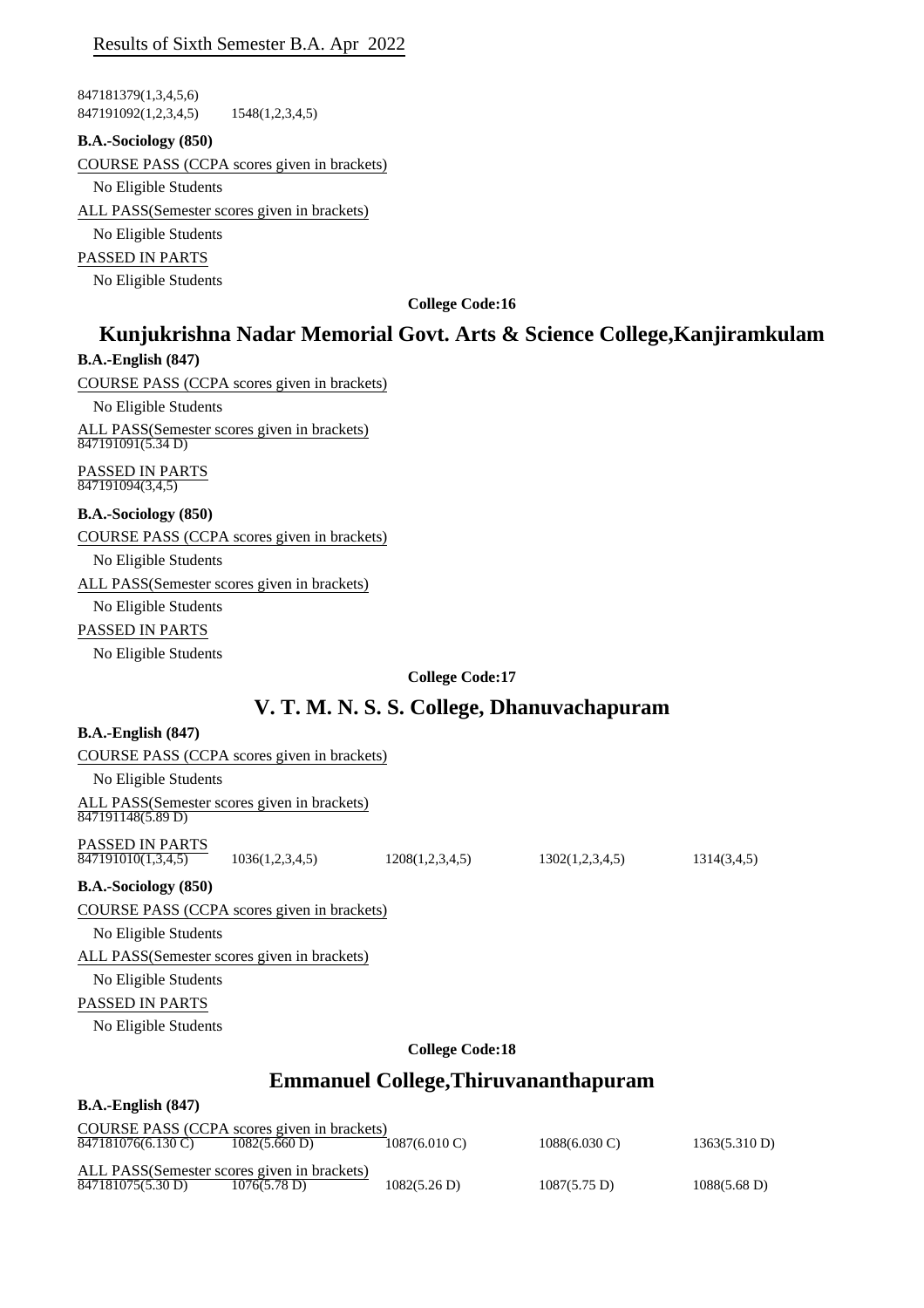### Results of Sixth Semester B.A. Apr 2022

847181379(1,3,4,5,6) 847191092(1,2,3,4,5) 1548(1,2,3,4,5)

#### **B.A.-Sociology (850)**

COURSE PASS (CCPA scores given in brackets)

No Eligible Students

ALL PASS(Semester scores given in brackets)

No Eligible Students

PASSED IN PARTS

No Eligible Students

**College Code:16**

# **Kunjukrishna Nadar Memorial Govt. Arts & Science College,Kanjiramkulam**

#### **B.A.-English (847)**

COURSE PASS (CCPA scores given in brackets)

No Eligible Students

ALL PASS(Semester scores given in brackets) 847191091(5.34 D)

PASSED IN PARTS 847191094(3,4,5)

**B.A.-Sociology (850)**

COURSE PASS (CCPA scores given in brackets)

No Eligible Students ALL PASS(Semester scores given in brackets)

No Eligible Students

PASSED IN PARTS

No Eligible Students

**College Code:17**

# **V. T. M. N. S. S. College, Dhanuvachapuram**

| $B.A.-English (847)$                                             |                 |                                             |                                                         |             |
|------------------------------------------------------------------|-----------------|---------------------------------------------|---------------------------------------------------------|-------------|
| COURSE PASS (CCPA scores given in brackets)                      |                 |                                             |                                                         |             |
| No Eligible Students                                             |                 |                                             |                                                         |             |
| ALL PASS(Semester scores given in brackets)<br>847191148(5.89 D) |                 |                                             |                                                         |             |
| PASSED IN PARTS<br>$\overline{847191010(1,3,4,5)}$               | 1036(1,2,3,4,5) | 1208(1,2,3,4,5)                             | 1302(1,2,3,4,5)                                         | 1314(3,4,5) |
| <b>B.A.-Sociology</b> (850)                                      |                 |                                             |                                                         |             |
| COURSE PASS (CCPA scores given in brackets)                      |                 |                                             |                                                         |             |
| No Eligible Students                                             |                 |                                             |                                                         |             |
| ALL PASS(Semester scores given in brackets)                      |                 |                                             |                                                         |             |
| No Eligible Students                                             |                 |                                             |                                                         |             |
| PASSED IN PARTS                                                  |                 |                                             |                                                         |             |
| No Eligible Students                                             |                 |                                             |                                                         |             |
|                                                                  |                 | <b>College Code:18</b>                      |                                                         |             |
|                                                                  |                 | <b>Emmanuel College, Thiruvananthapuram</b> |                                                         |             |
| $B.A.-English (847)$                                             |                 |                                             |                                                         |             |
| COURSE PASS (CCPA scores given in brackets)                      |                 | 1007/2010M                                  | $\sim$ $\sim$ $\sim$ $\sim$ $\sim$ $\sim$ $\sim$ $\sim$ |             |

ALL PASS(Semester scores given in brackets)<br>847181075(5.30 D) 1076(5.78 D) 847181076(6.130 C) 1082(5.660 D) 1087(6.010 C) 1088(6.030 C) 1363(5.310 D)  $\overline{847181075(5.30 \text{ D})}$   $\overline{1076(5.78 \text{ D})}$   $\overline{1082(5.26 \text{ D})}$   $\overline{1087(5.75 \text{ D})}$   $\overline{1088(5.68 \text{ D})}$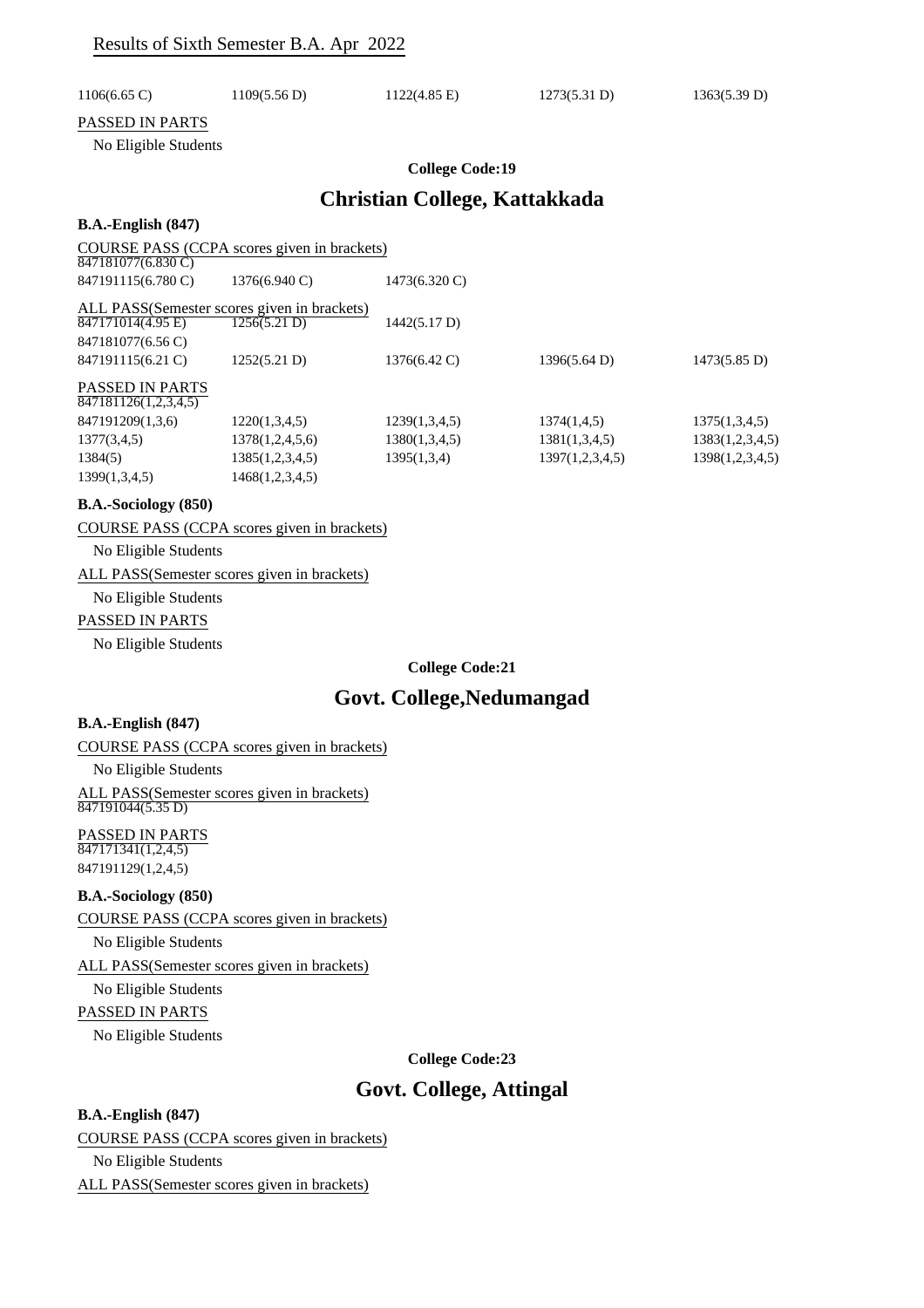| $1106(6.65 \text{ C})$                            | 1109(5.56 D)                                            | $1122(4.85 \text{ E})$               | 1273(5.31 D) | 1363(5.39 D) |
|---------------------------------------------------|---------------------------------------------------------|--------------------------------------|--------------|--------------|
| <b>PASSED IN PARTS</b><br>No Eligible Students    |                                                         |                                      |              |              |
|                                                   |                                                         | <b>College Code:19</b>               |              |              |
|                                                   |                                                         | <b>Christian College, Kattakkada</b> |              |              |
| $B.A.-English (847)$                              |                                                         |                                      |              |              |
| $G\cap H$ in $G$ in $G$ $G\cap H$ is a set of $G$ | $\cdot$ $\cdot$ $\cdot$ $\cdot$ $\cdot$ $\cdot$ $\cdot$ |                                      |              |              |

|                        | COURSE PASS (CCPA scores given in brackets) |               |                 |                        |
|------------------------|---------------------------------------------|---------------|-----------------|------------------------|
| 847181077(6.830 C)     |                                             |               |                 |                        |
| 847191115(6.780 C)     | 1376(6.940 C)                               | 1473(6.320 C) |                 |                        |
|                        | ALL PASS(Semester scores given in brackets) |               |                 |                        |
| 847171014(4.95 E)      | 1256(5.21 D)                                | 1442(5.17 D)  |                 |                        |
| 847181077(6.56 C)      |                                             |               |                 |                        |
| 847191115(6.21 C)      | 1252(5.21 D)                                | 1376(6.42 C)  | 1396(5.64 D)    | $1473(5.85 \text{ D})$ |
| <b>PASSED IN PARTS</b> |                                             |               |                 |                        |
| 847181126(1,2,3,4,5)   |                                             |               |                 |                        |
| 847191209(1,3,6)       | 1220(1,3,4,5)                               | 1239(1,3,4,5) | 1374(1,4,5)     | 1375(1,3,4,5)          |
| 1377(3,4,5)            | 1378(1,2,4,5,6)                             | 1380(1,3,4,5) | 1381(1,3,4,5)   | 1383(1,2,3,4,5)        |
| 1384(5)                | 1385(1,2,3,4,5)                             | 1395(1,3,4)   | 1397(1,2,3,4,5) | 1398(1,2,3,4,5)        |
| 1399(1,3,4,5)          | 1468(1,2,3,4,5)                             |               |                 |                        |
|                        |                                             |               |                 |                        |

#### **B.A.-Sociology (850)**

COURSE PASS (CCPA scores given in brackets)

No Eligible Students

#### ALL PASS(Semester scores given in brackets)

#### No Eligible Students

PASSED IN PARTS

No Eligible Students

#### **College Code:21**

### **Govt. College,Nedumangad**

#### **B.A.-English (847)**

COURSE PASS (CCPA scores given in brackets)

No Eligible Students

ALL PASS(Semester scores given in brackets) 847191044(5.35 D)

#### PASSED IN PARTS

 $\overline{847171341(1,2,4,5)}$ 847191129(1,2,4,5)

#### **B.A.-Sociology (850)**

COURSE PASS (CCPA scores given in brackets)

No Eligible Students

ALL PASS(Semester scores given in brackets)

No Eligible Students

#### PASSED IN PARTS

No Eligible Students

#### **College Code:23**

# **Govt. College, Attingal**

#### **B.A.-English (847)**

COURSE PASS (CCPA scores given in brackets)

No Eligible Students

ALL PASS(Semester scores given in brackets)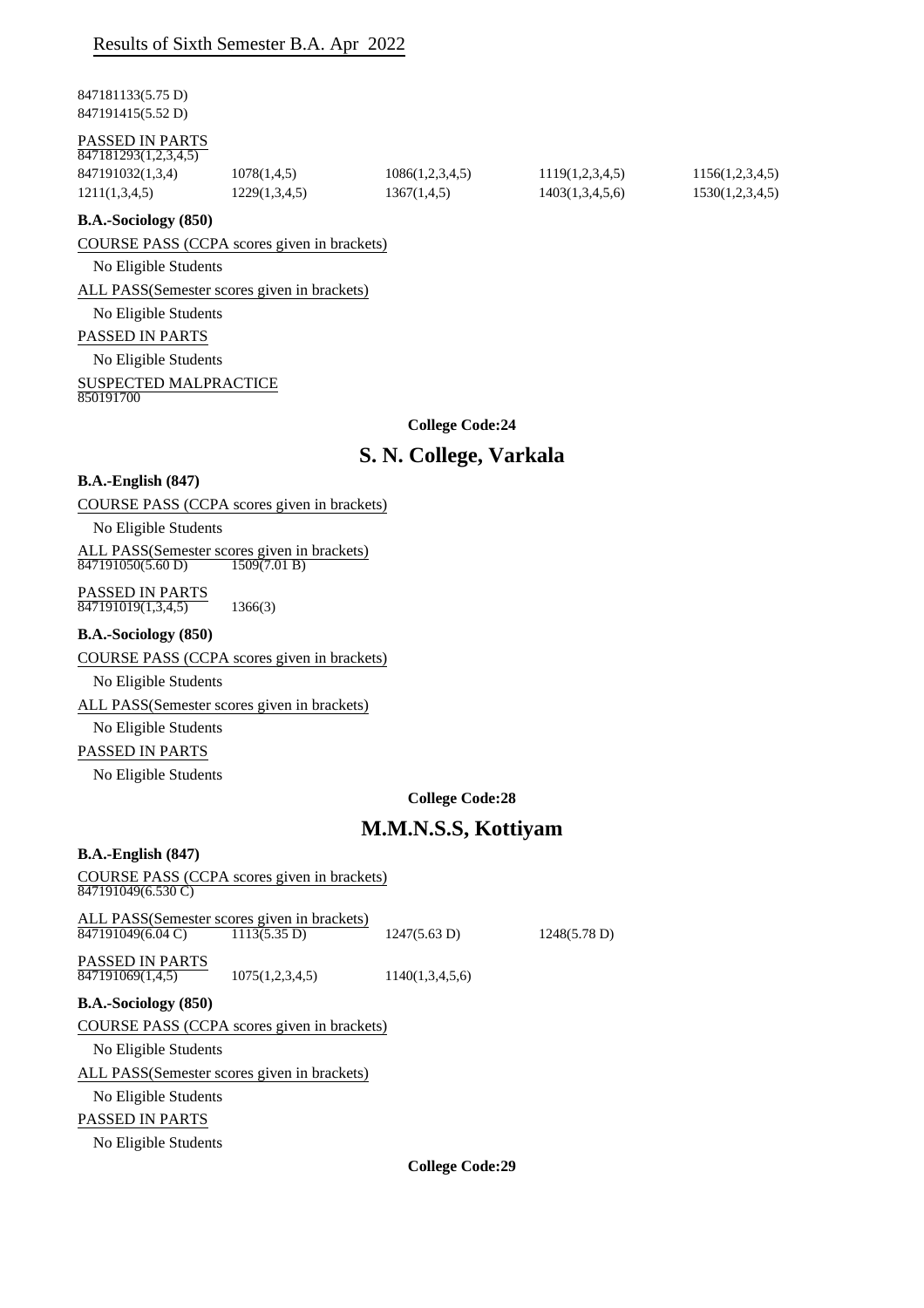### Results of Sixth Semester B.A. Apr 2022

847181133(5.75 D) 847191415(5.52 D)

#### PASSED IN PARTS

| 847181293(1,2,3,4,5) |               |                 |                 |                 |
|----------------------|---------------|-----------------|-----------------|-----------------|
| 847191032(1,3,4)     | 1078(1,4,5)   | 1086(1,2,3,4,5) | 1119(1,2,3,4,5) | 1156(1,2,3,4,5) |
| 1211(1,3,4,5)        | 1229(1,3,4,5) | 1367(1,4,5)     | 1403(1,3,4,5,6) | 1530(1,2,3,4,5) |

#### **B.A.-Sociology (850)**

COURSE PASS (CCPA scores given in brackets)

#### No Eligible Students

ALL PASS(Semester scores given in brackets)

#### No Eligible Students

#### PASSED IN PARTS

No Eligible Students

### SUSPECTED MALPRACTICE

850191700

**College Code:24**

# **S. N. College, Varkala**

#### **B.A.-English (847)**

#### COURSE PASS (CCPA scores given in brackets)

No Eligible Students

ALL PASS(Semester scores given in brackets) 847191050(5.60 D) 1509(7.01 B)

PASSED IN PARTS  $\frac{1138222 \text{ H} \cdot \text{11111}}{847191019(1,3,4,5)}$  1366(3)

#### **B.A.-Sociology (850)**

#### COURSE PASS (CCPA scores given in brackets)

No Eligible Students

#### ALL PASS(Semester scores given in brackets)

#### No Eligible Students

#### PASSED IN PARTS

No Eligible Students

#### **College Code:28**

# **M.M.N.S.S, Kottiyam**

#### **B.A.-English (847)**

| COURSE PASS (CCPA scores given in brackets)  |                        |                        |                        |
|----------------------------------------------|------------------------|------------------------|------------------------|
| 847191049(6.530 C)                           |                        |                        |                        |
|                                              |                        |                        |                        |
| ALL PASS(Semester scores given in brackets)  |                        |                        |                        |
| 847191049(6.04 C)                            | $1113(5.35 \text{ D})$ | $1247(5.63 \text{ D})$ | $1248(5.78 \text{ D})$ |
|                                              |                        |                        |                        |
| <b>PASSED IN PARTS</b>                       |                        |                        |                        |
| 847191069(1,4,5)                             | 1075(1,2,3,4,5)        | 1140(1,3,4,5,6)        |                        |
| <b>B.A.-Sociology</b> (850)                  |                        |                        |                        |
|                                              |                        |                        |                        |
| COURSE PASS (CCPA scores given in brackets)  |                        |                        |                        |
| No Eligible Students                         |                        |                        |                        |
|                                              |                        |                        |                        |
| ALL PASS (Semester scores given in brackets) |                        |                        |                        |
| No Eligible Students                         |                        |                        |                        |
|                                              |                        |                        |                        |
| <b>PASSED IN PARTS</b>                       |                        |                        |                        |
| No Eligible Students                         |                        |                        |                        |

**College Code:29**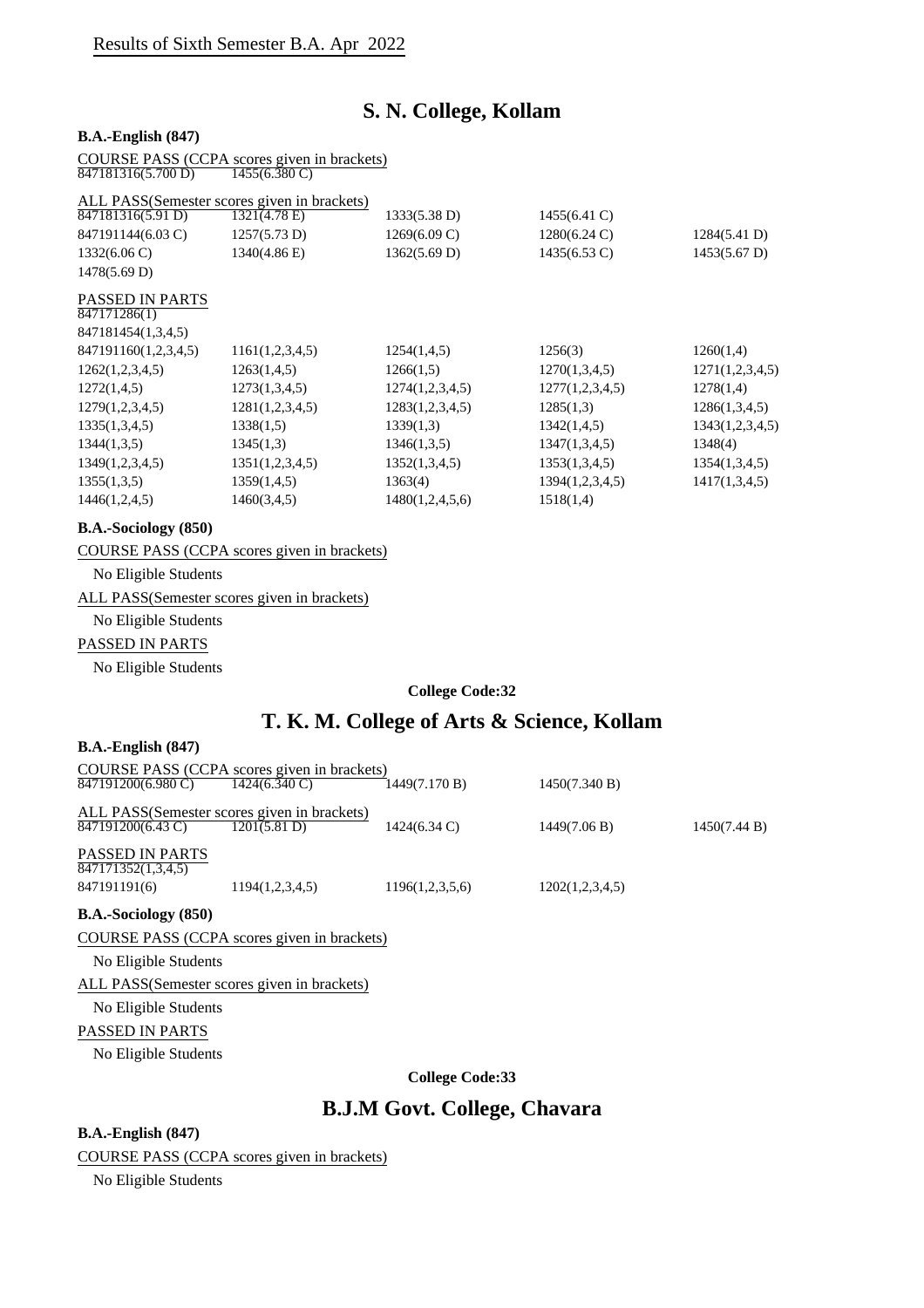# **S. N. College, Kollam**

#### **B.A.-English (847)**

COURSE PASS (CCPA scores given in brackets) 847181316(5.700 D) 1455(6.380 C)

| ALL PASS(Semester scores given in brackets) |                 |                        |                        |                        |
|---------------------------------------------|-----------------|------------------------|------------------------|------------------------|
| 847181316(5.91 D)                           | 1321(4.78 E)    | 1333(5.38 D)           | 1455(6.41 C)           |                        |
| 847191144(6.03 C)                           | 1257(5.73 D)    | $1269(6.09 \text{ C})$ | $1280(6.24 \text{ C})$ | 1284(5.41 D)           |
| $1332(6.06 \text{ C})$                      | 1340(4.86 E)    | 1362(5.69 D)           | $1435(6.53 \text{ C})$ | $1453(5.67 \text{ D})$ |
| 1478(5.69 D)                                |                 |                        |                        |                        |
| <b>PASSED IN PARTS</b><br>847171286(1)      |                 |                        |                        |                        |
| 847181454(1,3,4,5)                          |                 |                        |                        |                        |
| 847191160(1,2,3,4,5)                        | 1161(1,2,3,4,5) | 1254(1,4,5)            | 1256(3)                | 1260(1,4)              |
| 1262(1,2,3,4,5)                             | 1263(1,4,5)     | 1266(1,5)              | 1270(1,3,4,5)          | 1271(1,2,3,4,5)        |
| 1272(1,4,5)                                 | 1273(1,3,4,5)   | 1274(1,2,3,4,5)        | 1277(1,2,3,4,5)        | 1278(1,4)              |
| 1279(1,2,3,4,5)                             | 1281(1,2,3,4,5) | 1283(1,2,3,4,5)        | 1285(1,3)              | 1286(1,3,4,5)          |
| 1335(1,3,4,5)                               | 1338(1,5)       | 1339(1,3)              | 1342(1,4,5)            | 1343(1,2,3,4,5)        |
| 1344(1,3,5)                                 | 1345(1,3)       | 1346(1,3,5)            | 1347(1,3,4,5)          | 1348(4)                |
| 1349(1,2,3,4,5)                             | 1351(1,2,3,4,5) | 1352(1,3,4,5)          | 1353(1,3,4,5)          | 1354(1,3,4,5)          |
| 1355(1,3,5)                                 | 1359(1,4,5)     | 1363(4)                | 1394(1,2,3,4,5)        | 1417(1,3,4,5)          |
| 1446(1,2,4,5)                               | 1460(3,4,5)     | 1480(1,2,4,5,6)        | 1518(1,4)              |                        |

#### **B.A.-Sociology (850)**

COURSE PASS (CCPA scores given in brackets)

No Eligible Students

ALL PASS(Semester scores given in brackets)

# No Eligible Students

### PASSED IN PARTS

No Eligible Students

#### **College Code:32**

# **T. K. M. College of Arts & Science, Kollam**

#### **B.A.-English (847)**

|                                              | COURSE PASS (CCPA scores given in brackets) |                        |                 |              |
|----------------------------------------------|---------------------------------------------|------------------------|-----------------|--------------|
| 847191200(6.980 C)                           | $1424(6.340 \text{ C})$                     | 1449(7.170 B)          | 1450(7.340 B)   |              |
|                                              | ALL PASS(Semester scores given in brackets) |                        |                 |              |
| 847191200(6.43 C)                            | 1201(5.81 D)                                | $1424(6.34 \text{ C})$ | 1449(7.06 B)    | 1450(7.44 B) |
| <b>PASSED IN PARTS</b><br>847171352(1,3,4,5) |                                             |                        |                 |              |
| 847191191(6)                                 | 1194(1,2,3,4,5)                             | 1196(1,2,3,5,6)        | 1202(1,2,3,4,5) |              |

#### **B.A.-Sociology (850)**

COURSE PASS (CCPA scores given in brackets)

No Eligible Students

ALL PASS(Semester scores given in brackets)

#### No Eligible Students

PASSED IN PARTS

No Eligible Students

**College Code:33**

# **B.J.M Govt. College, Chavara**

#### **B.A.-English (847)**

COURSE PASS (CCPA scores given in brackets)

No Eligible Students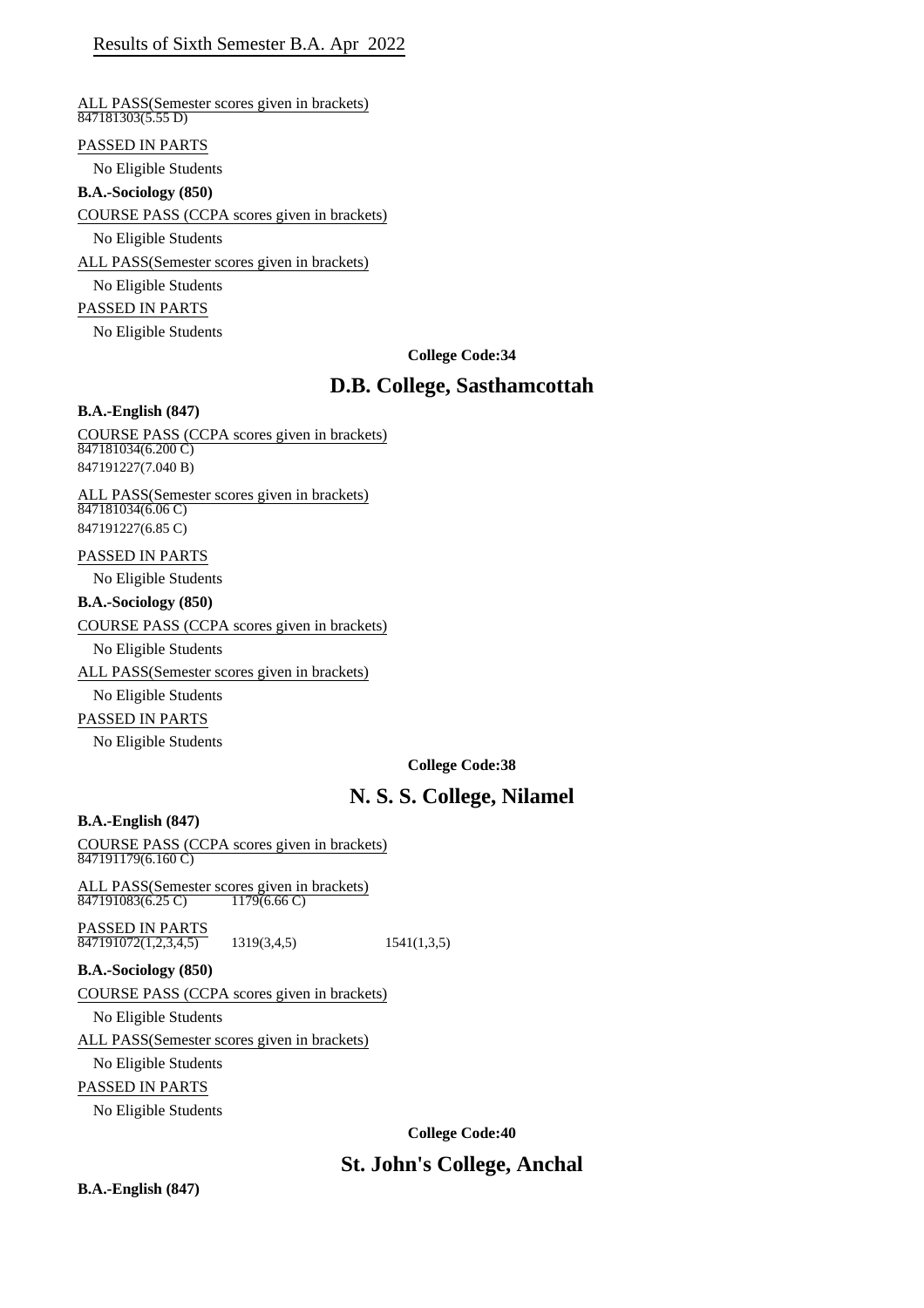### Results of Sixth Semester B.A. Apr 2022

#### ALL PASS(Semester scores given in brackets)  $847181303(5.55 D)$

#### PASSED IN PARTS

No Eligible Students

#### **B.A.-Sociology (850)**

COURSE PASS (CCPA scores given in brackets)

No Eligible Students

ALL PASS(Semester scores given in brackets)

No Eligible Students

#### PASSED IN PARTS

No Eligible Students

**College Code:34**

# **D.B. College, Sasthamcottah**

#### **B.A.-English (847)**

#### COURSE PASS (CCPA scores given in brackets)  $847181034(6.200 \text{ C})$ 847191227(7.040 B)

ALL PASS(Semester scores given in brackets) 847181034(6.06 C) 847191227(6.85 C)

#### PASSED IN PARTS

No Eligible Students

#### **B.A.-Sociology (850)**

COURSE PASS (CCPA scores given in brackets)

No Eligible Students

### ALL PASS(Semester scores given in brackets)

No Eligible Students

#### PASSED IN PARTS

No Eligible Students

#### **College Code:38**

# **N. S. S. College, Nilamel**

#### **B.A.-English (847)**

#### COURSE PASS (CCPA scores given in brackets)  $\overrightarrow{847191179(6.160 \text{ C})}$

ALL PASS(Semester scores given in brackets)<br>847191083(6.25 C) 1179(6.66 C) 847191083(6.25 C)

PASSED IN PARTS  $\overline{847191072(1,2,3,4,5)}$  1319(3,4,5) 1541(1,3,5)

# **B.A.-Sociology (850)**

COURSE PASS (CCPA scores given in brackets)

No Eligible Students

ALL PASS(Semester scores given in brackets)

No Eligible Students

### PASSED IN PARTS

No Eligible Students

**College Code:40**

# **St. John's College, Anchal**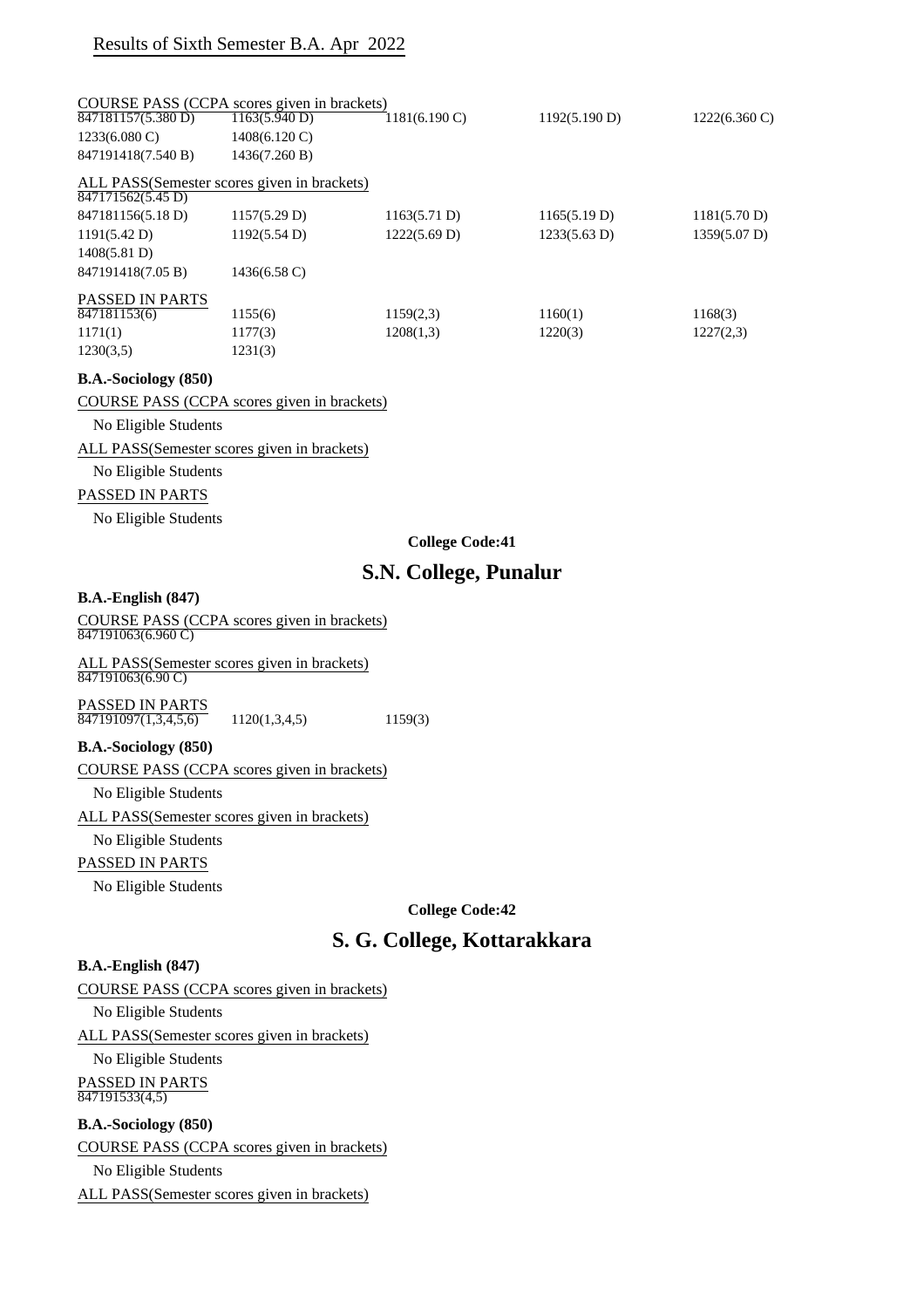### Results of Sixth Semester B.A. Apr 2022

|                         | COURSE PASS (CCPA scores given in brackets) |                         |               |                         |
|-------------------------|---------------------------------------------|-------------------------|---------------|-------------------------|
| 847181157(5.380 D)      | 1163(5.940 D)                               | $1181(6.190 \text{ C})$ | 1192(5.190 D) | $1222(6.360 \text{ C})$ |
| $1233(6.080 \text{ C})$ | 1408(6.120 C)                               |                         |               |                         |
| 847191418(7.540 B)      | 1436(7.260 B)                               |                         |               |                         |
| 847171562(5.45 D)       | ALL PASS(Semester scores given in brackets) |                         |               |                         |
| 847181156(5.18 D)       | 1157(5.29 D)                                | 1163(5.71 D)            | 1165(5.19 D)  | 1181(5.70 D)            |
| 1191(5.42 D)            | 1192(5.54 D)                                | 1222(5.69 D)            | 1233(5.63 D)  | 1359(5.07 D)            |
| 1408(5.81 D)            |                                             |                         |               |                         |
| 847191418(7.05 B)       | $1436(6.58 \text{ C})$                      |                         |               |                         |
| <b>PASSED IN PARTS</b>  |                                             |                         |               |                         |
| 847181153(6)            | 1155(6)                                     | 1159(2,3)               | 1160(1)       | 1168(3)                 |
| 1171(1)                 | 1177(3)                                     | 1208(1,3)               | 1220(3)       | 1227(2,3)               |
| 1230(3,5)               | 1231(3)                                     |                         |               |                         |

#### **B.A.-Sociology (850)**

COURSE PASS (CCPA scores given in brackets)

No Eligible Students

ALL PASS(Semester scores given in brackets)

No Eligible Students

#### PASSED IN PARTS

No Eligible Students

#### **College Code:41**

### **S.N. College, Punalur**

#### **B.A.-English (847)**

COURSE PASS (CCPA scores given in brackets) 847191063(6.960 C)

ALL PASS(Semester scores given in brackets) 847191063(6.90 C)

PASSED IN PARTS  $\overline{847191097(1,3,4,5,6)}$  1120(1,3,4,5) 1159(3)

#### **B.A.-Sociology (850)**

COURSE PASS (CCPA scores given in brackets)

No Eligible Students

ALL PASS(Semester scores given in brackets)

### No Eligible Students

PASSED IN PARTS

No Eligible Students

**College Code:42**

### **S. G. College, Kottarakkara**

#### **B.A.-English (847)**

COURSE PASS (CCPA scores given in brackets)

No Eligible Students

ALL PASS(Semester scores given in brackets)

No Eligible Students PASSED IN PARTS 847191533(4,5)

#### **B.A.-Sociology (850)**

COURSE PASS (CCPA scores given in brackets)

No Eligible Students

ALL PASS(Semester scores given in brackets)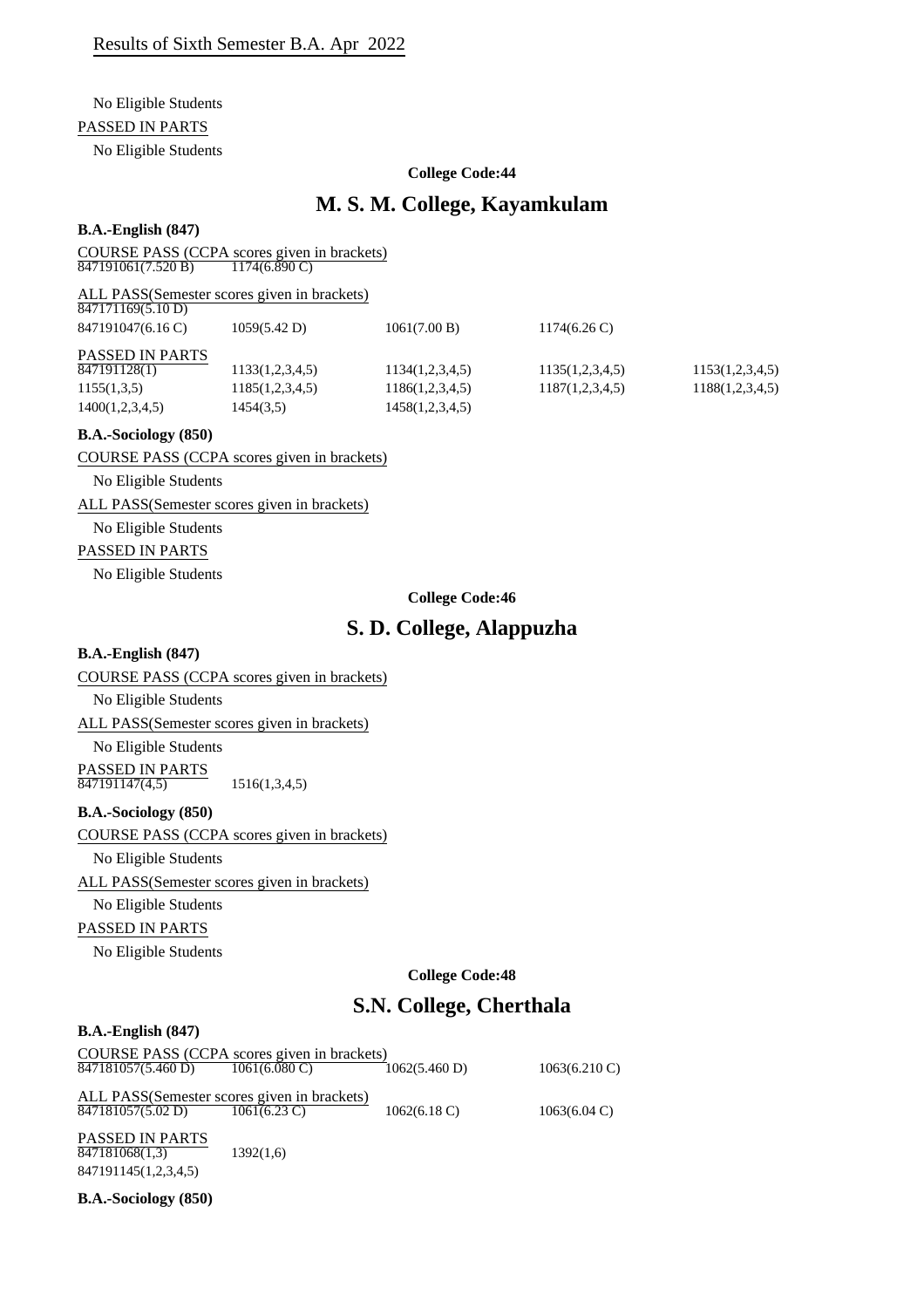#### No Eligible Students

#### PASSED IN PARTS

No Eligible Students

#### **College Code:44**

## **M. S. M. College, Kayamkulam**

#### **B.A.-English (847)**

COURSE PASS (CCPA scores given in brackets)<br> $\frac{847191061(7.520 B)}{11746.890 C}$  $\frac{847191061(7.520 \text{ B})}{847191061(7.520 \text{ B})}$ 

| ALL PASS(Semester scores given in brackets)<br>847171169(5.10 D) |                 |                 |                        |                 |
|------------------------------------------------------------------|-----------------|-----------------|------------------------|-----------------|
| 847191047(6.16 C)                                                | 1059(5.42 D)    | 1061(7.00 B)    | $1174(6.26 \text{ C})$ |                 |
| <b>PASSED IN PARTS</b>                                           |                 |                 |                        |                 |
| 847191128(1)                                                     | 1133(1,2,3,4,5) | 1134(1,2,3,4,5) | 1135(1,2,3,4,5)        | 1153(1,2,3,4,5) |
| 1155(1,3,5)                                                      | 1185(1,2,3,4,5) | 1186(1,2,3,4,5) | 1187(1,2,3,4,5)        | 1188(1,2,3,4,5) |
| 1400(1,2,3,4,5)                                                  | 1454(3,5)       | 1458(1,2,3,4,5) |                        |                 |

#### **B.A.-Sociology (850)**

COURSE PASS (CCPA scores given in brackets)

No Eligible Students

ALL PASS(Semester scores given in brackets)

No Eligible Students

#### PASSED IN PARTS

No Eligible Students

#### **College Code:46**

# **S. D. College, Alappuzha**

#### **B.A.-English (847)**

COURSE PASS (CCPA scores given in brackets)

No Eligible Students

ALL PASS(Semester scores given in brackets)

No Eligible Students

PASSED IN PARTS 847191147(4,5) 1516(1,3,4,5)

#### **B.A.-Sociology (850)**

COURSE PASS (CCPA scores given in brackets)

No Eligible Students

ALL PASS(Semester scores given in brackets)

No Eligible Students

### PASSED IN PARTS

No Eligible Students

**College Code:48**

# **S.N. College, Cherthala**

#### **B.A.-English (847)**

COURSE PASS (CCPA scores given in brackets) ALL PASS(Semester scores given in brackets)<br> $\frac{847181057(5.02 \text{ D})}{1061(6.23 \text{ C})}$ PASSED IN PARTS **B.A.-Sociology (850)** 847181057(5.460 D) 1061(6.080 C) 1062(5.460 D) 1063(6.210 C)  $\overline{847181057(5.02 \text{ D})}$   $\overline{1061(6.23 \text{ C})}$   $\overline{1062(6.18 \text{ C})}$   $\overline{1063(6.04 \text{ C})}$ 847181068(1,3) 1392(1,6) 847191145(1,2,3,4,5)